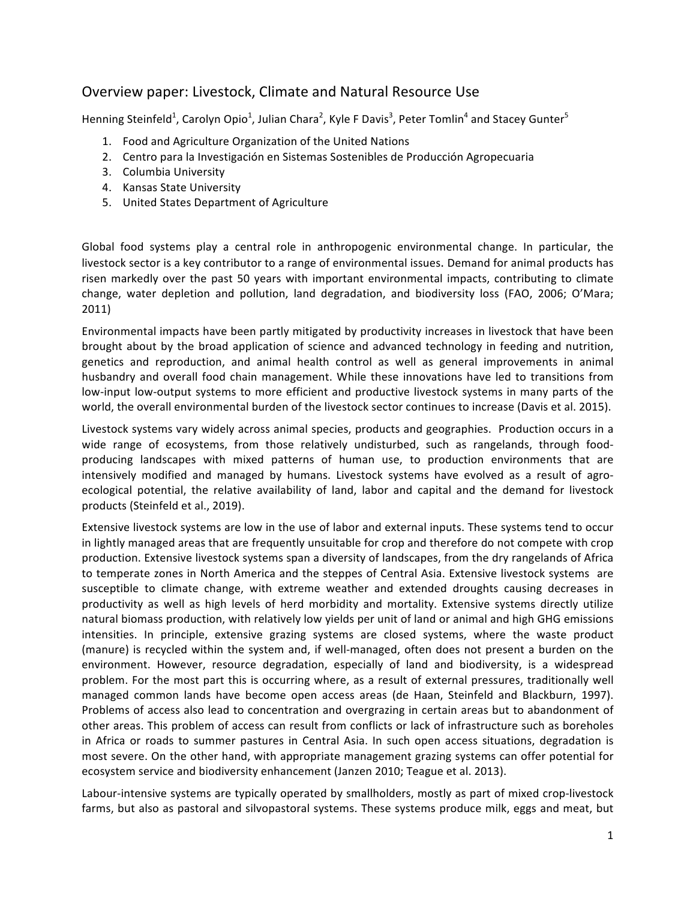# Overview paper: Livestock, Climate and Natural Resource Use

Henning Steinfeld<sup>1</sup>, Carolyn Opio<sup>1</sup>, Julian Chara<sup>2</sup>, Kyle F Davis<sup>3</sup>, Peter Tomlin<sup>4</sup> and Stacey Gunter<sup>5</sup>

- 1. Food and Agriculture Organization of the United Nations
- 2. Centro para la Investigación en Sistemas Sostenibles de Producción Agropecuaria
- 3. Columbia University
- 4. Kansas State University
- 5. United States Department of Agriculture

Global food systems play a central role in anthropogenic environmental change. In particular, the livestock sector is a key contributor to a range of environmental issues. Demand for animal products has risen markedly over the past 50 years with important environmental impacts, contributing to climate change, water depletion and pollution, land degradation, and biodiversity loss (FAO, 2006; O'Mara; 2011)

Environmental impacts have been partly mitigated by productivity increases in livestock that have been brought about by the broad application of science and advanced technology in feeding and nutrition, genetics and reproduction, and animal health control as well as general improvements in animal husbandry and overall food chain management. While these innovations have led to transitions from low-input low-output systems to more efficient and productive livestock systems in many parts of the world, the overall environmental burden of the livestock sector continues to increase (Davis et al. 2015).

Livestock systems vary widely across animal species, products and geographies. Production occurs in a wide range of ecosystems, from those relatively undisturbed, such as rangelands, through foodproducing landscapes with mixed patterns of human use, to production environments that are intensively modified and managed by humans. Livestock systems have evolved as a result of agroecological potential, the relative availability of land, labor and capital and the demand for livestock products (Steinfeld et al., 2019).

Extensive livestock systems are low in the use of labor and external inputs. These systems tend to occur in lightly managed areas that are frequently unsuitable for crop and therefore do not compete with crop production. Extensive livestock systems span a diversity of landscapes, from the dry rangelands of Africa to temperate zones in North America and the steppes of Central Asia. Extensive livestock systems are susceptible to climate change, with extreme weather and extended droughts causing decreases in productivity as well as high levels of herd morbidity and mortality. Extensive systems directly utilize natural biomass production, with relatively low yields per unit of land or animal and high GHG emissions intensities. In principle, extensive grazing systems are closed systems, where the waste product (manure) is recycled within the system and, if well-managed, often does not present a burden on the environment. However, resource degradation, especially of land and biodiversity, is a widespread problem. For the most part this is occurring where, as a result of external pressures, traditionally well managed common lands have become open access areas (de Haan, Steinfeld and Blackburn, 1997). Problems of access also lead to concentration and overgrazing in certain areas but to abandonment of other areas. This problem of access can result from conflicts or lack of infrastructure such as boreholes in Africa or roads to summer pastures in Central Asia. In such open access situations, degradation is most severe. On the other hand, with appropriate management grazing systems can offer potential for ecosystem service and biodiversity enhancement (Janzen 2010; Teague et al. 2013).

Labour-intensive systems are typically operated by smallholders, mostly as part of mixed crop-livestock farms, but also as pastoral and silvopastoral systems. These systems produce milk, eggs and meat, but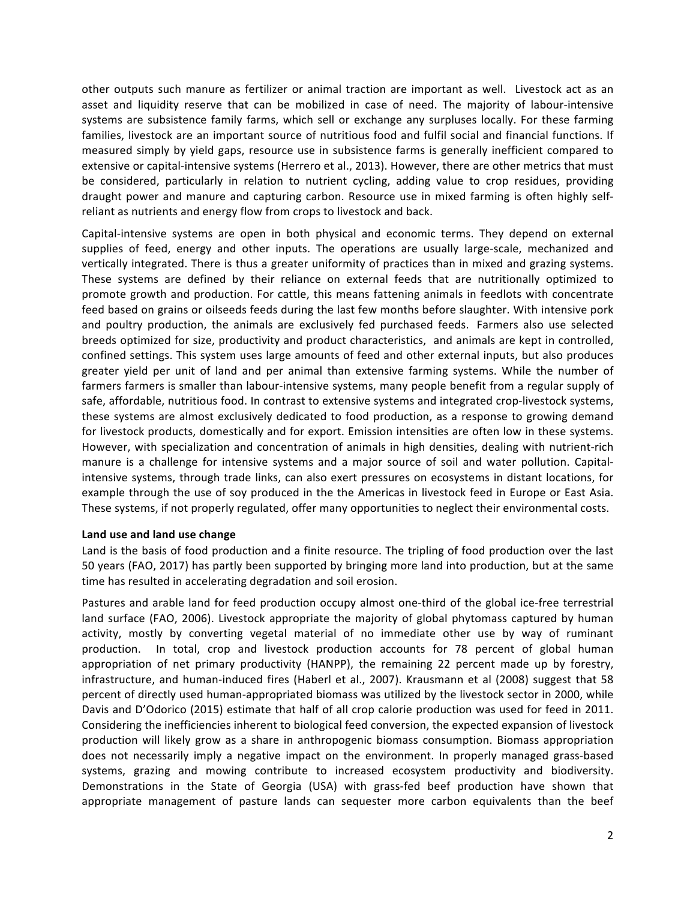other outputs such manure as fertilizer or animal traction are important as well. Livestock act as an asset and liquidity reserve that can be mobilized in case of need. The majority of labour-intensive systems are subsistence family farms, which sell or exchange any surpluses locally. For these farming families, livestock are an important source of nutritious food and fulfil social and financial functions. If measured simply by yield gaps, resource use in subsistence farms is generally inefficient compared to extensive or capital-intensive systems (Herrero et al., 2013). However, there are other metrics that must be considered, particularly in relation to nutrient cycling, adding value to crop residues, providing draught power and manure and capturing carbon. Resource use in mixed farming is often highly selfreliant as nutrients and energy flow from crops to livestock and back.

Capital-intensive systems are open in both physical and economic terms. They depend on external supplies of feed, energy and other inputs. The operations are usually large-scale, mechanized and vertically integrated. There is thus a greater uniformity of practices than in mixed and grazing systems. These systems are defined by their reliance on external feeds that are nutritionally optimized to promote growth and production. For cattle, this means fattening animals in feedlots with concentrate feed based on grains or oilseeds feeds during the last few months before slaughter. With intensive pork and poultry production, the animals are exclusively fed purchased feeds. Farmers also use selected breeds optimized for size, productivity and product characteristics, and animals are kept in controlled, confined settings. This system uses large amounts of feed and other external inputs, but also produces greater yield per unit of land and per animal than extensive farming systems. While the number of farmers farmers is smaller than labour-intensive systems, many people benefit from a regular supply of safe, affordable, nutritious food. In contrast to extensive systems and integrated crop-livestock systems, these systems are almost exclusively dedicated to food production, as a response to growing demand for livestock products, domestically and for export. Emission intensities are often low in these systems. However, with specialization and concentration of animals in high densities, dealing with nutrient-rich manure is a challenge for intensive systems and a major source of soil and water pollution. Capitalintensive systems, through trade links, can also exert pressures on ecosystems in distant locations, for example through the use of soy produced in the the Americas in livestock feed in Europe or East Asia. These systems, if not properly regulated, offer many opportunities to neglect their environmental costs.

## Land use and land use change

Land is the basis of food production and a finite resource. The tripling of food production over the last 50 years (FAO, 2017) has partly been supported by bringing more land into production, but at the same time has resulted in accelerating degradation and soil erosion.

Pastures and arable land for feed production occupy almost one-third of the global ice-free terrestrial land surface (FAO, 2006). Livestock appropriate the majority of global phytomass captured by human activity, mostly by converting vegetal material of no immediate other use by way of ruminant production. In total, crop and livestock production accounts for 78 percent of global human appropriation of net primary productivity (HANPP), the remaining 22 percent made up by forestry, infrastructure, and human-induced fires (Haberl et al., 2007). Krausmann et al (2008) suggest that 58 percent of directly used human-appropriated biomass was utilized by the livestock sector in 2000, while Davis and D'Odorico (2015) estimate that half of all crop calorie production was used for feed in 2011. Considering the inefficiencies inherent to biological feed conversion, the expected expansion of livestock production will likely grow as a share in anthropogenic biomass consumption. Biomass appropriation does not necessarily imply a negative impact on the environment. In properly managed grass-based systems, grazing and mowing contribute to increased ecosystem productivity and biodiversity. Demonstrations in the State of Georgia (USA) with grass-fed beef production have shown that appropriate management of pasture lands can sequester more carbon equivalents than the beef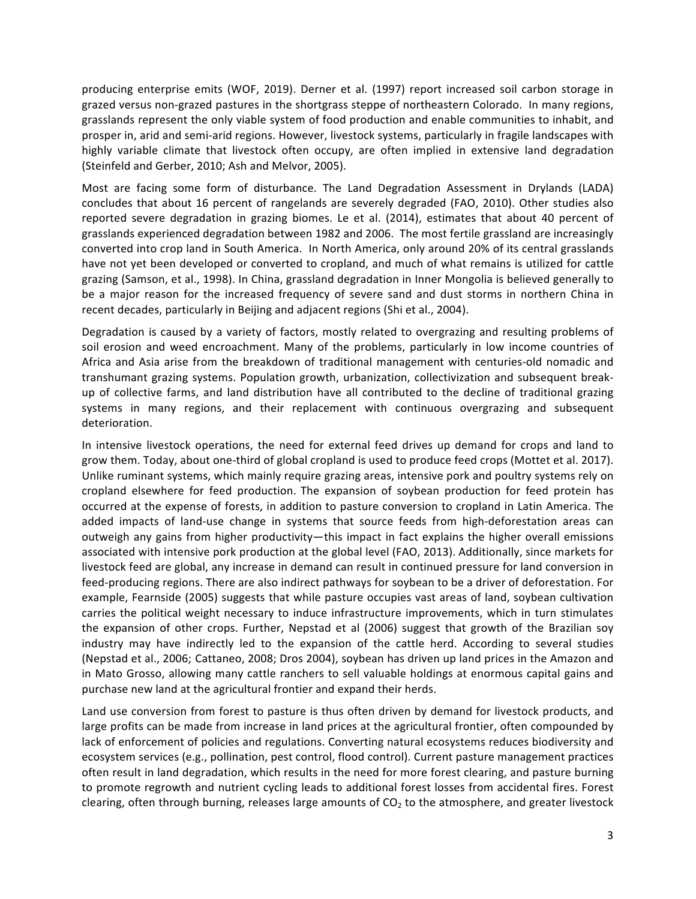producing enterprise emits (WOF, 2019). Derner et al. (1997) report increased soil carbon storage in grazed versus non-grazed pastures in the shortgrass steppe of northeastern Colorado. In many regions, grasslands represent the only viable system of food production and enable communities to inhabit, and prosper in, arid and semi-arid regions. However, livestock systems, particularly in fragile landscapes with highly variable climate that livestock often occupy, are often implied in extensive land degradation (Steinfeld and Gerber, 2010; Ash and Melvor, 2005).

Most are facing some form of disturbance. The Land Degradation Assessment in Drylands (LADA) concludes that about 16 percent of rangelands are severely degraded (FAO, 2010). Other studies also reported severe degradation in grazing biomes. Le et al. (2014), estimates that about 40 percent of grasslands experienced degradation between 1982 and 2006. The most fertile grassland are increasingly converted into crop land in South America. In North America, only around 20% of its central grasslands have not yet been developed or converted to cropland, and much of what remains is utilized for cattle grazing (Samson, et al., 1998). In China, grassland degradation in Inner Mongolia is believed generally to be a major reason for the increased frequency of severe sand and dust storms in northern China in recent decades, particularly in Beijing and adjacent regions (Shi et al., 2004).

Degradation is caused by a variety of factors, mostly related to overgrazing and resulting problems of soil erosion and weed encroachment. Many of the problems, particularly in low income countries of Africa and Asia arise from the breakdown of traditional management with centuries-old nomadic and transhumant grazing systems. Population growth, urbanization, collectivization and subsequent breakup of collective farms, and land distribution have all contributed to the decline of traditional grazing systems in many regions, and their replacement with continuous overgrazing and subsequent deterioration.

In intensive livestock operations, the need for external feed drives up demand for crops and land to grow them. Today, about one-third of global cropland is used to produce feed crops (Mottet et al. 2017). Unlike ruminant systems, which mainly require grazing areas, intensive pork and poultry systems rely on cropland elsewhere for feed production. The expansion of soybean production for feed protein has occurred at the expense of forests, in addition to pasture conversion to cropland in Latin America. The added impacts of land-use change in systems that source feeds from high-deforestation areas can outweigh any gains from higher productivity—this impact in fact explains the higher overall emissions associated with intensive pork production at the global level (FAO, 2013). Additionally, since markets for livestock feed are global, any increase in demand can result in continued pressure for land conversion in feed-producing regions. There are also indirect pathways for soybean to be a driver of deforestation. For example, Fearnside (2005) suggests that while pasture occupies vast areas of land, soybean cultivation carries the political weight necessary to induce infrastructure improvements, which in turn stimulates the expansion of other crops. Further, Nepstad et al (2006) suggest that growth of the Brazilian soy industry may have indirectly led to the expansion of the cattle herd. According to several studies (Nepstad et al., 2006; Cattaneo, 2008; Dros 2004), soybean has driven up land prices in the Amazon and in Mato Grosso, allowing many cattle ranchers to sell valuable holdings at enormous capital gains and purchase new land at the agricultural frontier and expand their herds.

Land use conversion from forest to pasture is thus often driven by demand for livestock products, and large profits can be made from increase in land prices at the agricultural frontier, often compounded by lack of enforcement of policies and regulations. Converting natural ecosystems reduces biodiversity and ecosystem services (e.g., pollination, pest control, flood control). Current pasture management practices often result in land degradation, which results in the need for more forest clearing, and pasture burning to promote regrowth and nutrient cycling leads to additional forest losses from accidental fires. Forest clearing, often through burning, releases large amounts of  $CO<sub>2</sub>$  to the atmosphere, and greater livestock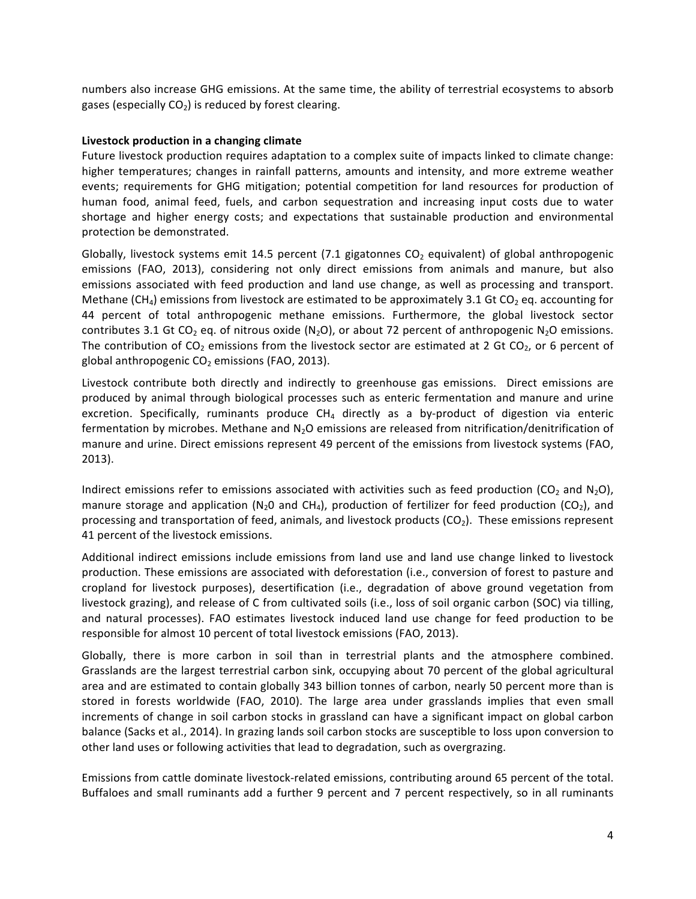numbers also increase GHG emissions. At the same time, the ability of terrestrial ecosystems to absorb gases (especially  $CO<sub>2</sub>$ ) is reduced by forest clearing.

#### Livestock production in a changing climate

Future livestock production requires adaptation to a complex suite of impacts linked to climate change: higher temperatures; changes in rainfall patterns, amounts and intensity, and more extreme weather events; requirements for GHG mitigation; potential competition for land resources for production of human food, animal feed, fuels, and carbon sequestration and increasing input costs due to water shortage and higher energy costs; and expectations that sustainable production and environmental protection be demonstrated.

Globally, livestock systems emit 14.5 percent (7.1 gigatonnes  $CO<sub>2</sub>$  equivalent) of global anthropogenic emissions (FAO, 2013), considering not only direct emissions from animals and manure, but also emissions associated with feed production and land use change, as well as processing and transport. Methane (CH<sub>4</sub>) emissions from livestock are estimated to be approximately 3.1 Gt CO<sub>2</sub> eq. accounting for 44 percent of total anthropogenic methane emissions. Furthermore, the global livestock sector contributes 3.1 Gt CO<sub>2</sub> eq. of nitrous oxide (N<sub>2</sub>O), or about 72 percent of anthropogenic N<sub>2</sub>O emissions. The contribution of  $CO_2$  emissions from the livestock sector are estimated at 2 Gt  $CO_2$ , or 6 percent of global anthropogenic  $CO<sub>2</sub>$  emissions (FAO, 2013).

Livestock contribute both directly and indirectly to greenhouse gas emissions. Direct emissions are produced by animal through biological processes such as enteric fermentation and manure and urine excretion. Specifically, ruminants produce  $CH<sub>4</sub>$  directly as a by-product of digestion via enteric fermentation by microbes. Methane and  $N_2O$  emissions are released from nitrification/denitrification of manure and urine. Direct emissions represent 49 percent of the emissions from livestock systems (FAO, 2013). 

Indirect emissions refer to emissions associated with activities such as feed production (CO<sub>2</sub> and N<sub>2</sub>O), manure storage and application (N<sub>2</sub>O and CH<sub>4</sub>), production of fertilizer for feed production (CO<sub>2</sub>), and processing and transportation of feed, animals, and livestock products ( $CO<sub>2</sub>$ ). These emissions represent 41 percent of the livestock emissions.

Additional indirect emissions include emissions from land use and land use change linked to livestock production. These emissions are associated with deforestation (i.e., conversion of forest to pasture and cropland for livestock purposes), desertification (i.e., degradation of above ground vegetation from livestock grazing), and release of C from cultivated soils (i.e., loss of soil organic carbon (SOC) via tilling, and natural processes). FAO estimates livestock induced land use change for feed production to be responsible for almost 10 percent of total livestock emissions (FAO, 2013).

Globally, there is more carbon in soil than in terrestrial plants and the atmosphere combined. Grasslands are the largest terrestrial carbon sink, occupying about 70 percent of the global agricultural area and are estimated to contain globally 343 billion tonnes of carbon, nearly 50 percent more than is stored in forests worldwide (FAO, 2010). The large area under grasslands implies that even small increments of change in soil carbon stocks in grassland can have a significant impact on global carbon balance (Sacks et al., 2014). In grazing lands soil carbon stocks are susceptible to loss upon conversion to other land uses or following activities that lead to degradation, such as overgrazing.

Emissions from cattle dominate livestock-related emissions, contributing around 65 percent of the total. Buffaloes and small ruminants add a further 9 percent and 7 percent respectively, so in all ruminants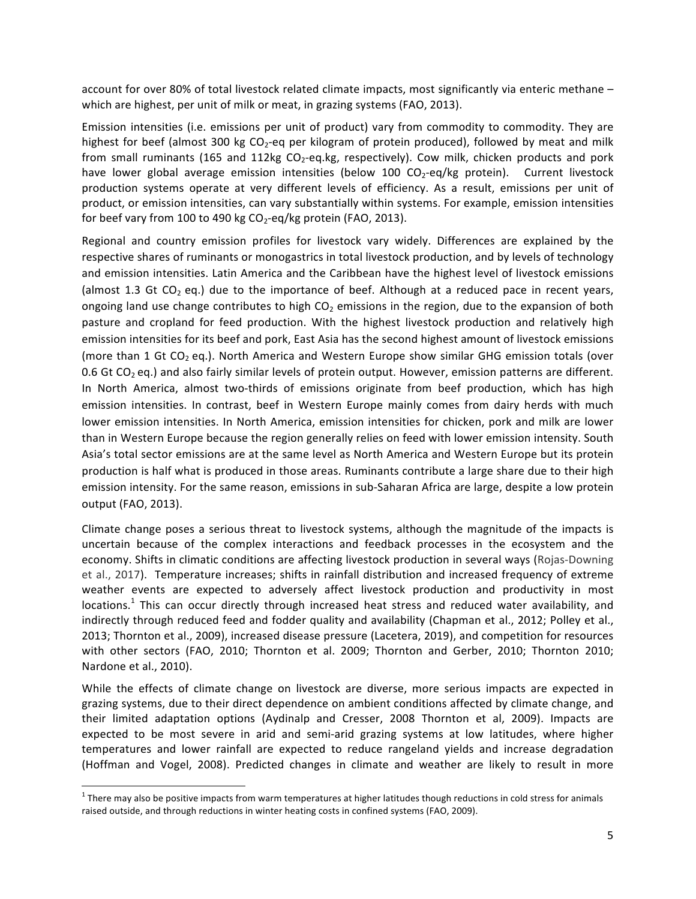account for over 80% of total livestock related climate impacts, most significantly via enteric methane – which are highest, per unit of milk or meat, in grazing systems (FAO, 2013).

Emission intensities (i.e. emissions per unit of product) vary from commodity to commodity. They are highest for beef (almost 300 kg CO<sub>2</sub>-eq per kilogram of protein produced), followed by meat and milk from small ruminants (165 and 112kg  $CO_2$ -eq.kg, respectively). Cow milk, chicken products and pork have lower global average emission intensities (below 100  $CO_2$ -eq/kg protein). Current livestock production systems operate at very different levels of efficiency. As a result, emissions per unit of product, or emission intensities, can vary substantially within systems. For example, emission intensities for beef vary from 100 to 490 kg  $CO_2$ -eq/kg protein (FAO, 2013).

Regional and country emission profiles for livestock vary widely. Differences are explained by the respective shares of ruminants or monogastrics in total livestock production, and by levels of technology and emission intensities. Latin America and the Caribbean have the highest level of livestock emissions (almost 1.3 Gt CO<sub>2</sub> eq.) due to the importance of beef. Although at a reduced pace in recent years, ongoing land use change contributes to high  $CO<sub>2</sub>$  emissions in the region, due to the expansion of both pasture and cropland for feed production. With the highest livestock production and relatively high emission intensities for its beef and pork, East Asia has the second highest amount of livestock emissions (more than 1 Gt CO<sub>2</sub> eq.). North America and Western Europe show similar GHG emission totals (over 0.6 Gt CO<sub>2</sub> eq.) and also fairly similar levels of protein output. However, emission patterns are different. In North America, almost two-thirds of emissions originate from beef production, which has high emission intensities. In contrast, beef in Western Europe mainly comes from dairy herds with much lower emission intensities. In North America, emission intensities for chicken, pork and milk are lower than in Western Europe because the region generally relies on feed with lower emission intensity. South Asia's total sector emissions are at the same level as North America and Western Europe but its protein production is half what is produced in those areas. Ruminants contribute a large share due to their high emission intensity. For the same reason, emissions in sub-Saharan Africa are large, despite a low protein output (FAO, 2013).

Climate change poses a serious threat to livestock systems, although the magnitude of the impacts is uncertain because of the complex interactions and feedback processes in the ecosystem and the economy. Shifts in climatic conditions are affecting livestock production in several ways (Rojas-Downing et al., 2017). Temperature increases; shifts in rainfall distribution and increased frequency of extreme weather events are expected to adversely affect livestock production and productivity in most  $locations<sup>1</sup>$  This can occur directly through increased heat stress and reduced water availability, and indirectly through reduced feed and fodder quality and availability (Chapman et al., 2012; Polley et al., 2013; Thornton et al., 2009), increased disease pressure (Lacetera, 2019), and competition for resources with other sectors (FAO, 2010; Thornton et al. 2009; Thornton and Gerber, 2010; Thornton 2010; Nardone et al., 2010).

While the effects of climate change on livestock are diverse, more serious impacts are expected in grazing systems, due to their direct dependence on ambient conditions affected by climate change, and their limited adaptation options (Aydinalp and Cresser, 2008 Thornton et al, 2009). Impacts are expected to be most severe in arid and semi-arid grazing systems at low latitudes, where higher temperatures and lower rainfall are expected to reduce rangeland yields and increase degradation (Hoffman and Vogel, 2008). Predicted changes in climate and weather are likely to result in more

 $1$  There may also be positive impacts from warm temperatures at higher latitudes though reductions in cold stress for animals raised outside, and through reductions in winter heating costs in confined systems (FAO, 2009).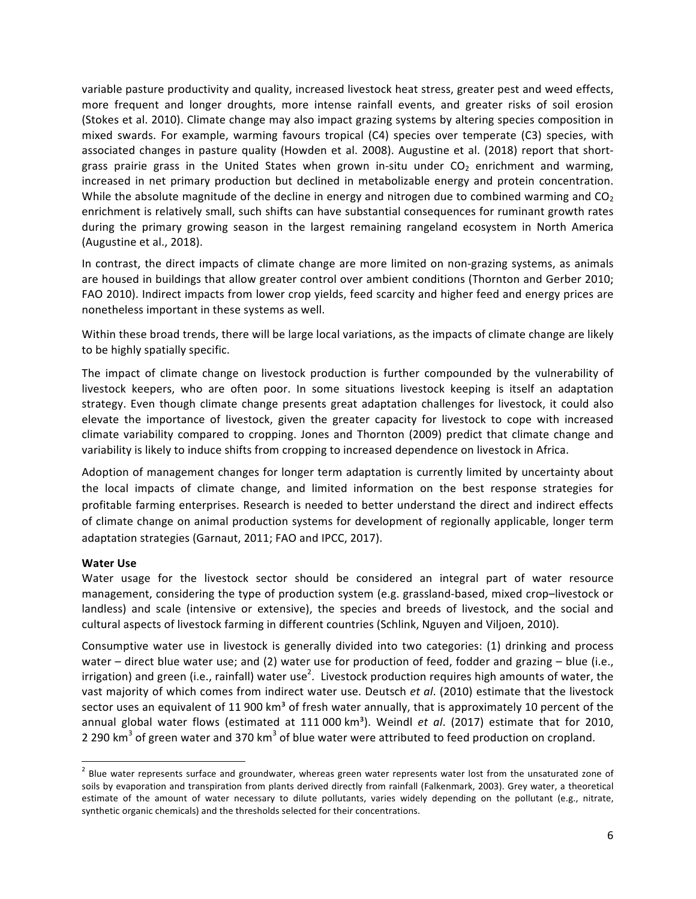variable pasture productivity and quality, increased livestock heat stress, greater pest and weed effects, more frequent and longer droughts, more intense rainfall events, and greater risks of soil erosion (Stokes et al. 2010). Climate change may also impact grazing systems by altering species composition in mixed swards. For example, warming favours tropical (C4) species over temperate (C3) species, with associated changes in pasture quality (Howden et al. 2008). Augustine et al. (2018) report that shortgrass prairie grass in the United States when grown in-situ under  $CO<sub>2</sub>$  enrichment and warming, increased in net primary production but declined in metabolizable energy and protein concentration. While the absolute magnitude of the decline in energy and nitrogen due to combined warming and  $CO<sub>2</sub>$ enrichment is relatively small, such shifts can have substantial consequences for ruminant growth rates during the primary growing season in the largest remaining rangeland ecosystem in North America (Augustine et al., 2018).

In contrast, the direct impacts of climate change are more limited on non-grazing systems, as animals are housed in buildings that allow greater control over ambient conditions (Thornton and Gerber 2010; FAO 2010). Indirect impacts from lower crop yields, feed scarcity and higher feed and energy prices are nonetheless important in these systems as well.

Within these broad trends, there will be large local variations, as the impacts of climate change are likely to be highly spatially specific.

The impact of climate change on livestock production is further compounded by the vulnerability of livestock keepers, who are often poor. In some situations livestock keeping is itself an adaptation strategy. Even though climate change presents great adaptation challenges for livestock, it could also elevate the importance of livestock, given the greater capacity for livestock to cope with increased climate variability compared to cropping. Jones and Thornton (2009) predict that climate change and variability is likely to induce shifts from cropping to increased dependence on livestock in Africa.

Adoption of management changes for longer term adaptation is currently limited by uncertainty about the local impacts of climate change, and limited information on the best response strategies for profitable farming enterprises. Research is needed to better understand the direct and indirect effects of climate change on animal production systems for development of regionally applicable, longer term adaptation strategies (Garnaut, 2011; FAO and IPCC, 2017).

## **Water Use**

Water usage for the livestock sector should be considered an integral part of water resource management, considering the type of production system (e.g. grassland-based, mixed crop–livestock or landless) and scale (intensive or extensive), the species and breeds of livestock, and the social and cultural aspects of livestock farming in different countries (Schlink, Nguyen and Viljoen, 2010).

Consumptive water use in livestock is generally divided into two categories: (1) drinking and process water – direct blue water use; and (2) water use for production of feed, fodder and grazing – blue (i.e., irrigation) and green (i.e., rainfall) water use<sup>2</sup>. Livestock production requires high amounts of water, the vast majority of which comes from indirect water use. Deutsch et al. (2010) estimate that the livestock sector uses an equivalent of 11 900 km<sup>3</sup> of fresh water annually, that is approximately 10 percent of the annual global water flows (estimated at 111 000 km<sup>3</sup>). Weindl et al. (2017) estimate that for 2010, 2 290 km<sup>3</sup> of green water and 370 km<sup>3</sup> of blue water were attributed to feed production on cropland.

 $2$  Blue water represents surface and groundwater, whereas green water represents water lost from the unsaturated zone of soils by evaporation and transpiration from plants derived directly from rainfall (Falkenmark, 2003). Grey water, a theoretical estimate of the amount of water necessary to dilute pollutants, varies widely depending on the pollutant (e.g., nitrate, synthetic organic chemicals) and the thresholds selected for their concentrations.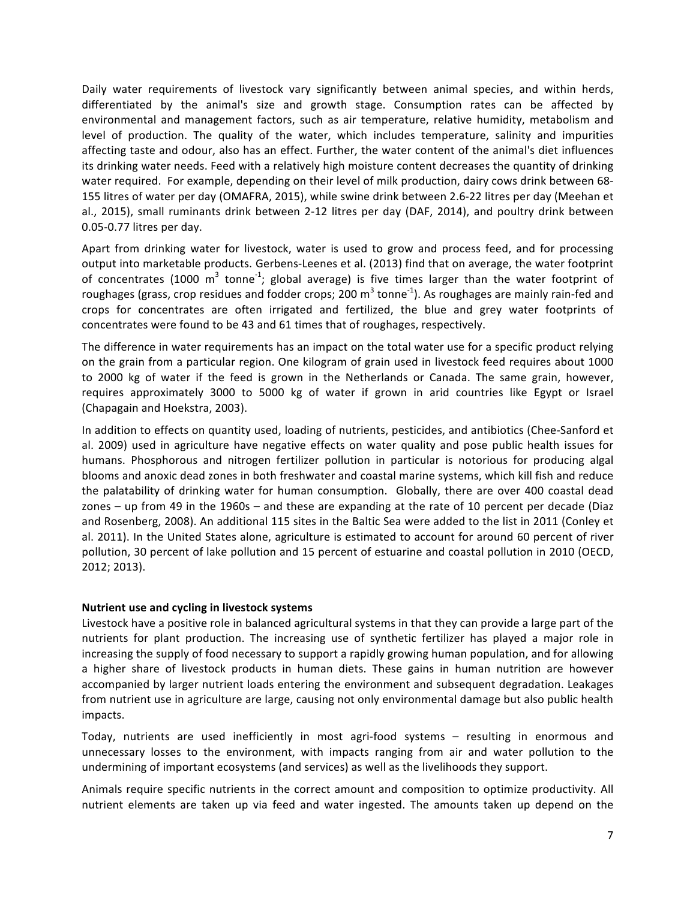Daily water requirements of livestock vary significantly between animal species, and within herds, differentiated by the animal's size and growth stage. Consumption rates can be affected by environmental and management factors, such as air temperature, relative humidity, metabolism and level of production. The quality of the water, which includes temperature, salinity and impurities affecting taste and odour, also has an effect. Further, the water content of the animal's diet influences its drinking water needs. Feed with a relatively high moisture content decreases the quantity of drinking water required. For example, depending on their level of milk production, dairy cows drink between 68-155 litres of water per day (OMAFRA, 2015), while swine drink between 2.6-22 litres per day (Meehan et al., 2015), small ruminants drink between 2-12 litres per day (DAF, 2014), and poultry drink between 0.05-0.77 litres per day.

Apart from drinking water for livestock, water is used to grow and process feed, and for processing output into marketable products. Gerbens-Leenes et al. (2013) find that on average, the water footprint of concentrates (1000 m<sup>3</sup> tonne<sup>-1</sup>; global average) is five times larger than the water footprint of roughages (grass, crop residues and fodder crops; 200 m<sup>3</sup> tonne<sup>-1</sup>). As roughages are mainly rain-fed and crops for concentrates are often irrigated and fertilized, the blue and grey water footprints of concentrates were found to be 43 and 61 times that of roughages, respectively.

The difference in water requirements has an impact on the total water use for a specific product relying on the grain from a particular region. One kilogram of grain used in livestock feed requires about 1000 to 2000 kg of water if the feed is grown in the Netherlands or Canada. The same grain, however, requires approximately 3000 to 5000 kg of water if grown in arid countries like Egypt or Israel (Chapagain and Hoekstra, 2003).

In addition to effects on quantity used, loading of nutrients, pesticides, and antibiotics (Chee-Sanford et al. 2009) used in agriculture have negative effects on water quality and pose public health issues for humans. Phosphorous and nitrogen fertilizer pollution in particular is notorious for producing algal blooms and anoxic dead zones in both freshwater and coastal marine systems, which kill fish and reduce the palatability of drinking water for human consumption. Globally, there are over 400 coastal dead zones – up from 49 in the 1960s – and these are expanding at the rate of 10 percent per decade (Diaz and Rosenberg, 2008). An additional 115 sites in the Baltic Sea were added to the list in 2011 (Conley et al. 2011). In the United States alone, agriculture is estimated to account for around 60 percent of river pollution, 30 percent of lake pollution and 15 percent of estuarine and coastal pollution in 2010 (OECD, 2012; 2013). 

#### **Nutrient use and cycling in livestock systems**

Livestock have a positive role in balanced agricultural systems in that they can provide a large part of the nutrients for plant production. The increasing use of synthetic fertilizer has played a major role in increasing the supply of food necessary to support a rapidly growing human population, and for allowing a higher share of livestock products in human diets. These gains in human nutrition are however accompanied by larger nutrient loads entering the environment and subsequent degradation. Leakages from nutrient use in agriculture are large, causing not only environmental damage but also public health impacts. 

Today, nutrients are used inefficiently in most agri-food systems – resulting in enormous and unnecessary losses to the environment, with impacts ranging from air and water pollution to the undermining of important ecosystems (and services) as well as the livelihoods they support.

Animals require specific nutrients in the correct amount and composition to optimize productivity. All nutrient elements are taken up via feed and water ingested. The amounts taken up depend on the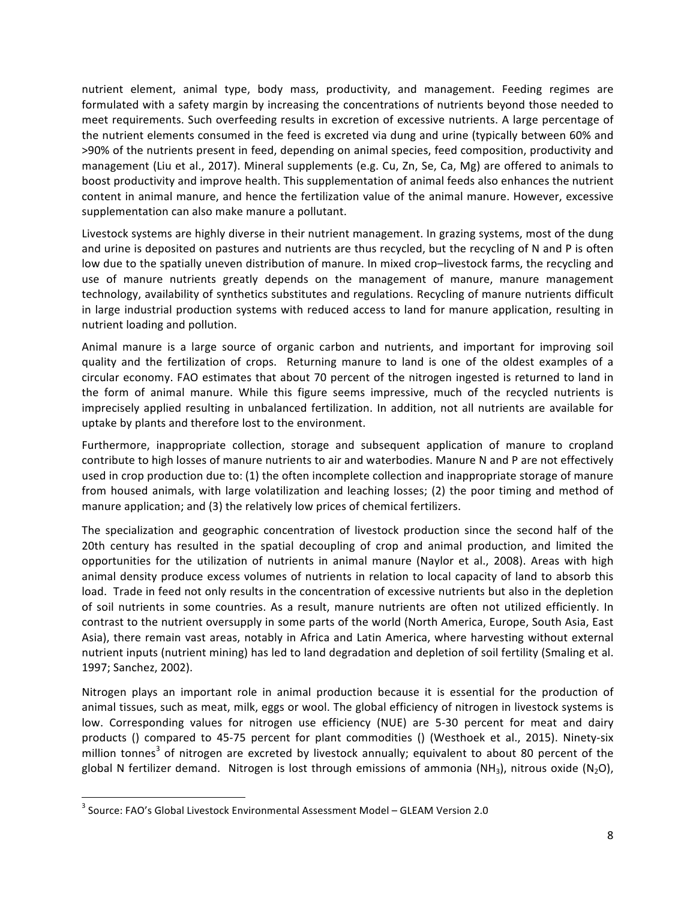nutrient element, animal type, body mass, productivity, and management. Feeding regimes are formulated with a safety margin by increasing the concentrations of nutrients beyond those needed to meet requirements. Such overfeeding results in excretion of excessive nutrients. A large percentage of the nutrient elements consumed in the feed is excreted via dung and urine (typically between 60% and >90% of the nutrients present in feed, depending on animal species, feed composition, productivity and management (Liu et al., 2017). Mineral supplements (e.g. Cu, Zn, Se, Ca, Mg) are offered to animals to boost productivity and improve health. This supplementation of animal feeds also enhances the nutrient content in animal manure, and hence the fertilization value of the animal manure. However, excessive supplementation can also make manure a pollutant.

Livestock systems are highly diverse in their nutrient management. In grazing systems, most of the dung and urine is deposited on pastures and nutrients are thus recycled, but the recycling of N and P is often low due to the spatially uneven distribution of manure. In mixed crop–livestock farms, the recycling and use of manure nutrients greatly depends on the management of manure, manure management technology, availability of synthetics substitutes and regulations. Recycling of manure nutrients difficult in large industrial production systems with reduced access to land for manure application, resulting in nutrient loading and pollution.

Animal manure is a large source of organic carbon and nutrients, and important for improving soil quality and the fertilization of crops. Returning manure to land is one of the oldest examples of a circular economy. FAO estimates that about 70 percent of the nitrogen ingested is returned to land in the form of animal manure. While this figure seems impressive, much of the recycled nutrients is imprecisely applied resulting in unbalanced fertilization. In addition, not all nutrients are available for uptake by plants and therefore lost to the environment.

Furthermore, inappropriate collection, storage and subsequent application of manure to cropland contribute to high losses of manure nutrients to air and waterbodies. Manure N and P are not effectively used in crop production due to: (1) the often incomplete collection and inappropriate storage of manure from housed animals, with large volatilization and leaching losses; (2) the poor timing and method of manure application; and (3) the relatively low prices of chemical fertilizers.

The specialization and geographic concentration of livestock production since the second half of the 20th century has resulted in the spatial decoupling of crop and animal production, and limited the opportunities for the utilization of nutrients in animal manure (Naylor et al., 2008). Areas with high animal density produce excess volumes of nutrients in relation to local capacity of land to absorb this load. Trade in feed not only results in the concentration of excessive nutrients but also in the depletion of soil nutrients in some countries. As a result, manure nutrients are often not utilized efficiently. In contrast to the nutrient oversupply in some parts of the world (North America, Europe, South Asia, East Asia), there remain vast areas, notably in Africa and Latin America, where harvesting without external nutrient inputs (nutrient mining) has led to land degradation and depletion of soil fertility (Smaling et al. 1997; Sanchez, 2002).

Nitrogen plays an important role in animal production because it is essential for the production of animal tissues, such as meat, milk, eggs or wool. The global efficiency of nitrogen in livestock systems is low. Corresponding values for nitrogen use efficiency (NUE) are 5-30 percent for meat and dairy products () compared to 45-75 percent for plant commodities () (Westhoek et al., 2015). Ninety-six million tonnes<sup>3</sup> of nitrogen are excreted by livestock annually; equivalent to about 80 percent of the global N fertilizer demand. Nitrogen is lost through emissions of ammonia (NH<sub>3</sub>), nitrous oxide (N<sub>2</sub>O),

<u> 1989 - Johann Stein, markin film yn y breninn y breninn y breninn y breninn y breninn y breninn y breninn y b</u>

 $3$  Source: FAO's Global Livestock Environmental Assessment Model – GLEAM Version 2.0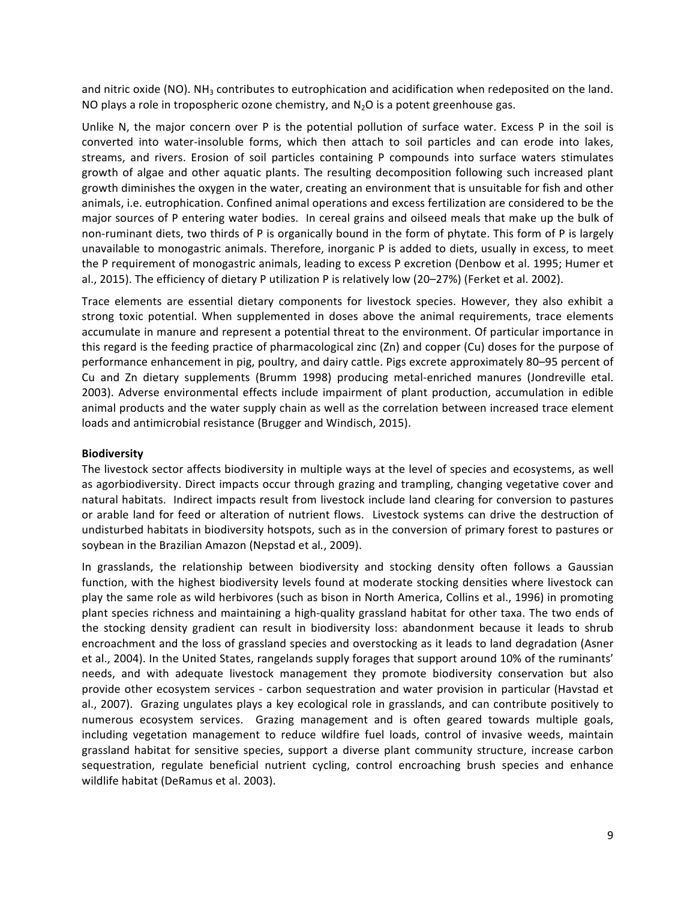and nitric oxide (NO). NH<sub>3</sub> contributes to eutrophication and acidification when redeposited on the land. NO plays a role in tropospheric ozone chemistry, and  $N_2O$  is a potent greenhouse gas.

Unlike  $N$ , the major concern over P is the potential pollution of surface water. Excess P in the soil is converted into water-insoluble forms, which then attach to soil particles and can erode into lakes, streams, and rivers. Erosion of soil particles containing P compounds into surface waters stimulates growth of algae and other aquatic plants. The resulting decomposition following such increased plant growth diminishes the oxygen in the water, creating an environment that is unsuitable for fish and other animals, i.e. eutrophication. Confined animal operations and excess fertilization are considered to be the major sources of P entering water bodies. In cereal grains and oilseed meals that make up the bulk of non-ruminant diets, two thirds of P is organically bound in the form of phytate. This form of P is largely unavailable to monogastric animals. Therefore, inorganic P is added to diets, usually in excess, to meet the P requirement of monogastric animals, leading to excess P excretion (Denbow et al. 1995; Humer et al., 2015). The efficiency of dietary P utilization P is relatively low (20–27%) (Ferket et al. 2002).

Trace elements are essential dietary components for livestock species. However, they also exhibit a strong toxic potential. When supplemented in doses above the animal requirements, trace elements accumulate in manure and represent a potential threat to the environment. Of particular importance in this regard is the feeding practice of pharmacological zinc  $(Zn)$  and copper  $(Cu)$  doses for the purpose of performance enhancement in pig, poultry, and dairy cattle. Pigs excrete approximately 80-95 percent of Cu and Zn dietary supplements (Brumm 1998) producing metal-enriched manures (Jondreville etal. 2003). Adverse environmental effects include impairment of plant production, accumulation in edible animal products and the water supply chain as well as the correlation between increased trace element loads and antimicrobial resistance (Brugger and Windisch, 2015).

### **Biodiversity**

The livestock sector affects biodiversity in multiple ways at the level of species and ecosystems, as well as agorbiodiversity. Direct impacts occur through grazing and trampling, changing vegetative cover and natural habitats. Indirect impacts result from livestock include land clearing for conversion to pastures or arable land for feed or alteration of nutrient flows. Livestock systems can drive the destruction of undisturbed habitats in biodiversity hotspots, such as in the conversion of primary forest to pastures or soybean in the Brazilian Amazon (Nepstad et al., 2009).

In grasslands, the relationship between biodiversity and stocking density often follows a Gaussian function, with the highest biodiversity levels found at moderate stocking densities where livestock can play the same role as wild herbivores (such as bison in North America, Collins et al., 1996) in promoting plant species richness and maintaining a high-quality grassland habitat for other taxa. The two ends of the stocking density gradient can result in biodiversity loss: abandonment because it leads to shrub encroachment and the loss of grassland species and overstocking as it leads to land degradation (Asner et al., 2004). In the United States, rangelands supply forages that support around 10% of the ruminants' needs, and with adequate livestock management they promote biodiversity conservation but also provide other ecosystem services - carbon sequestration and water provision in particular (Havstad et al., 2007). Grazing ungulates plays a key ecological role in grasslands, and can contribute positively to numerous ecosystem services. Grazing management and is often geared towards multiple goals, including vegetation management to reduce wildfire fuel loads, control of invasive weeds, maintain grassland habitat for sensitive species, support a diverse plant community structure, increase carbon sequestration, regulate beneficial nutrient cycling, control encroaching brush species and enhance wildlife habitat (DeRamus et al. 2003).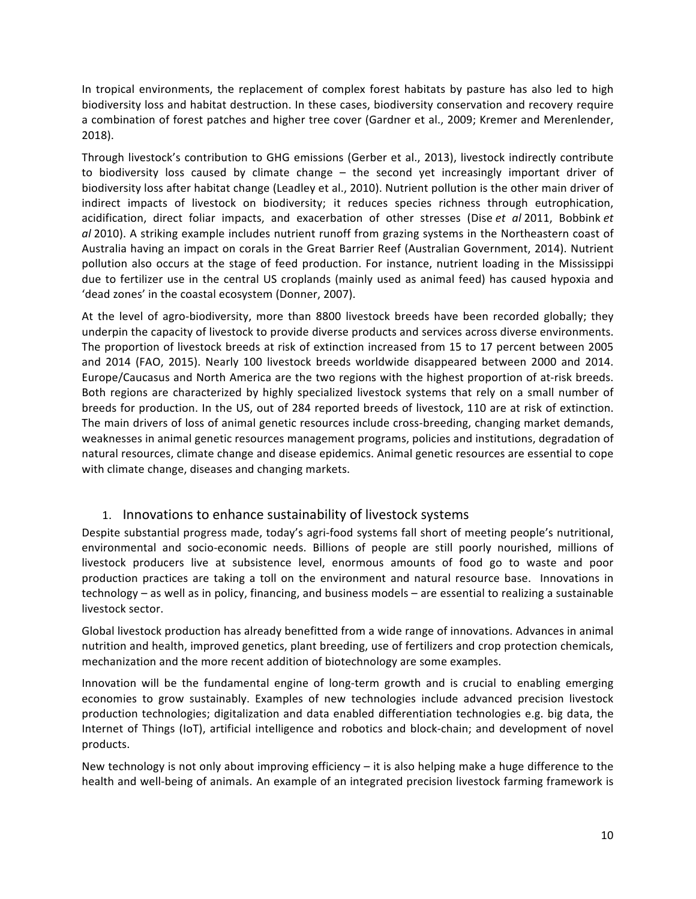In tropical environments, the replacement of complex forest habitats by pasture has also led to high biodiversity loss and habitat destruction. In these cases, biodiversity conservation and recovery require a combination of forest patches and higher tree cover (Gardner et al., 2009; Kremer and Merenlender, 2018). 

Through livestock's contribution to GHG emissions (Gerber et al., 2013), livestock indirectly contribute to biodiversity loss caused by climate change  $-$  the second yet increasingly important driver of biodiversity loss after habitat change (Leadley et al., 2010). Nutrient pollution is the other main driver of indirect impacts of livestock on biodiversity; it reduces species richness through eutrophication, acidification, direct foliar impacts, and exacerbation of other stresses (Dise *et al* 2011, Bobbink *et al* 2010). A striking example includes nutrient runoff from grazing systems in the Northeastern coast of Australia having an impact on corals in the Great Barrier Reef (Australian Government, 2014). Nutrient pollution also occurs at the stage of feed production. For instance, nutrient loading in the Mississippi due to fertilizer use in the central US croplands (mainly used as animal feed) has caused hypoxia and 'dead zones' in the coastal ecosystem (Donner, 2007).

At the level of agro-biodiversity, more than 8800 livestock breeds have been recorded globally; they underpin the capacity of livestock to provide diverse products and services across diverse environments. The proportion of livestock breeds at risk of extinction increased from 15 to 17 percent between 2005 and 2014 (FAO, 2015). Nearly 100 livestock breeds worldwide disappeared between 2000 and 2014. Europe/Caucasus and North America are the two regions with the highest proportion of at-risk breeds. Both regions are characterized by highly specialized livestock systems that rely on a small number of breeds for production. In the US, out of 284 reported breeds of livestock, 110 are at risk of extinction. The main drivers of loss of animal genetic resources include cross-breeding, changing market demands, weaknesses in animal genetic resources management programs, policies and institutions, degradation of natural resources, climate change and disease epidemics. Animal genetic resources are essential to cope with climate change, diseases and changing markets.

## 1. Innovations to enhance sustainability of livestock systems

Despite substantial progress made, today's agri-food systems fall short of meeting people's nutritional, environmental and socio-economic needs. Billions of people are still poorly nourished, millions of livestock producers live at subsistence level, enormous amounts of food go to waste and poor production practices are taking a toll on the environment and natural resource base. Innovations in technology – as well as in policy, financing, and business models – are essential to realizing a sustainable livestock sector.

Global livestock production has already benefitted from a wide range of innovations. Advances in animal nutrition and health, improved genetics, plant breeding, use of fertilizers and crop protection chemicals, mechanization and the more recent addition of biotechnology are some examples.

Innovation will be the fundamental engine of long-term growth and is crucial to enabling emerging economies to grow sustainably. Examples of new technologies include advanced precision livestock production technologies; digitalization and data enabled differentiation technologies e.g. big data, the Internet of Things (IoT), artificial intelligence and robotics and block-chain; and development of novel products. 

New technology is not only about improving efficiency  $-$  it is also helping make a huge difference to the health and well-being of animals. An example of an integrated precision livestock farming framework is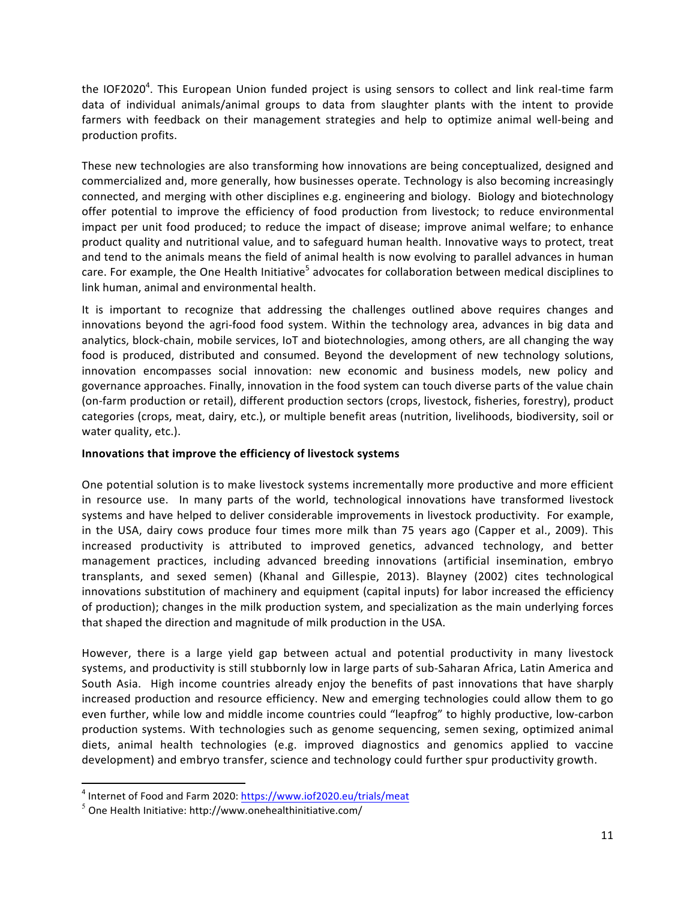the IOF2020<sup>4</sup>. This European Union funded project is using sensors to collect and link real-time farm data of individual animals/animal groups to data from slaughter plants with the intent to provide farmers with feedback on their management strategies and help to optimize animal well-being and production profits.

These new technologies are also transforming how innovations are being conceptualized, designed and commercialized and, more generally, how businesses operate. Technology is also becoming increasingly connected, and merging with other disciplines e.g. engineering and biology. Biology and biotechnology offer potential to improve the efficiency of food production from livestock; to reduce environmental impact per unit food produced; to reduce the impact of disease; improve animal welfare; to enhance product quality and nutritional value, and to safeguard human health. Innovative ways to protect, treat and tend to the animals means the field of animal health is now evolving to parallel advances in human care. For example, the One Health Initiative<sup>5</sup> advocates for collaboration between medical disciplines to link human, animal and environmental health.

It is important to recognize that addressing the challenges outlined above requires changes and innovations beyond the agri-food food system. Within the technology area, advances in big data and analytics, block-chain, mobile services, IoT and biotechnologies, among others, are all changing the way food is produced, distributed and consumed. Beyond the development of new technology solutions, innovation encompasses social innovation: new economic and business models, new policy and governance approaches. Finally, innovation in the food system can touch diverse parts of the value chain (on-farm production or retail), different production sectors (crops, livestock, fisheries, forestry), product categories (crops, meat, dairy, etc.), or multiple benefit areas (nutrition, livelihoods, biodiversity, soil or water quality, etc.).

## **Innovations that improve the efficiency of livestock systems**

One potential solution is to make livestock systems incrementally more productive and more efficient in resource use. In many parts of the world, technological innovations have transformed livestock systems and have helped to deliver considerable improvements in livestock productivity. For example, in the USA, dairy cows produce four times more milk than 75 years ago (Capper et al., 2009). This increased productivity is attributed to improved genetics, advanced technology, and better management practices, including advanced breeding innovations (artificial insemination, embryo transplants, and sexed semen) (Khanal and Gillespie, 2013). Blayney (2002) cites technological innovations substitution of machinery and equipment (capital inputs) for labor increased the efficiency of production); changes in the milk production system, and specialization as the main underlying forces that shaped the direction and magnitude of milk production in the USA.

However, there is a large yield gap between actual and potential productivity in many livestock systems, and productivity is still stubbornly low in large parts of sub-Saharan Africa, Latin America and South Asia. High income countries already enjoy the benefits of past innovations that have sharply increased production and resource efficiency. New and emerging technologies could allow them to go even further, while low and middle income countries could "leapfrog" to highly productive, low-carbon production systems. With technologies such as genome sequencing, semen sexing, optimized animal diets, animal health technologies (e.g. improved diagnostics and genomics applied to vaccine development) and embryo transfer, science and technology could further spur productivity growth.

<u> 1989 - Johann Stein, markin film yn y breninn y breninn y breninn y breninn y breninn y breninn y breninn y b</u>

 $4$  Internet of Food and Farm 2020: https://www.iof2020.eu/trials/meat

 $5$  One Health Initiative: http://www.onehealthinitiative.com/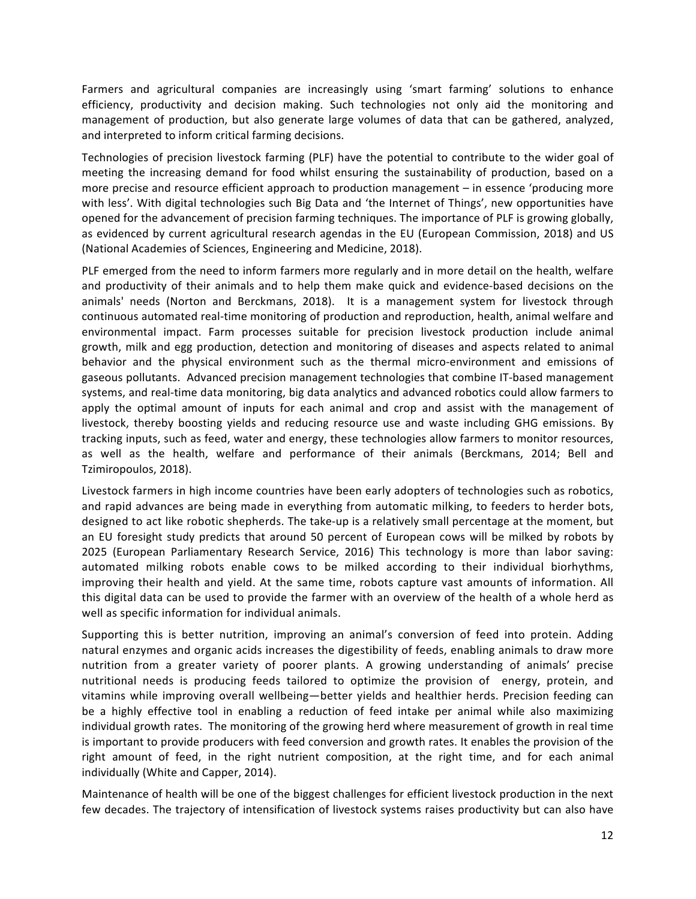Farmers and agricultural companies are increasingly using 'smart farming' solutions to enhance efficiency, productivity and decision making. Such technologies not only aid the monitoring and management of production, but also generate large volumes of data that can be gathered, analyzed, and interpreted to inform critical farming decisions.

Technologies of precision livestock farming (PLF) have the potential to contribute to the wider goal of meeting the increasing demand for food whilst ensuring the sustainability of production, based on a more precise and resource efficient approach to production management  $-$  in essence 'producing more with less'. With digital technologies such Big Data and 'the Internet of Things', new opportunities have opened for the advancement of precision farming techniques. The importance of PLF is growing globally, as evidenced by current agricultural research agendas in the EU (European Commission, 2018) and US (National Academies of Sciences, Engineering and Medicine, 2018).

PLF emerged from the need to inform farmers more regularly and in more detail on the health, welfare and productivity of their animals and to help them make quick and evidence-based decisions on the animals' needs (Norton and Berckmans, 2018). It is a management system for livestock through continuous automated real-time monitoring of production and reproduction, health, animal welfare and environmental impact. Farm processes suitable for precision livestock production include animal growth, milk and egg production, detection and monitoring of diseases and aspects related to animal behavior and the physical environment such as the thermal micro-environment and emissions of gaseous pollutants. Advanced precision management technologies that combine IT-based management systems, and real-time data monitoring, big data analytics and advanced robotics could allow farmers to apply the optimal amount of inputs for each animal and crop and assist with the management of livestock, thereby boosting yields and reducing resource use and waste including GHG emissions. By tracking inputs, such as feed, water and energy, these technologies allow farmers to monitor resources, as well as the health, welfare and performance of their animals (Berckmans, 2014; Bell and Tzimiropoulos, 2018).

Livestock farmers in high income countries have been early adopters of technologies such as robotics, and rapid advances are being made in everything from automatic milking, to feeders to herder bots, designed to act like robotic shepherds. The take-up is a relatively small percentage at the moment, but an EU foresight study predicts that around 50 percent of European cows will be milked by robots by 2025 (European Parliamentary Research Service, 2016) This technology is more than labor saving: automated milking robots enable cows to be milked according to their individual biorhythms, improving their health and yield. At the same time, robots capture vast amounts of information. All this digital data can be used to provide the farmer with an overview of the health of a whole herd as well as specific information for individual animals.

Supporting this is better nutrition, improving an animal's conversion of feed into protein. Adding natural enzymes and organic acids increases the digestibility of feeds, enabling animals to draw more nutrition from a greater variety of poorer plants. A growing understanding of animals' precise nutritional needs is producing feeds tailored to optimize the provision of energy, protein, and vitamins while improving overall wellbeing—better yields and healthier herds. Precision feeding can be a highly effective tool in enabling a reduction of feed intake per animal while also maximizing individual growth rates. The monitoring of the growing herd where measurement of growth in real time is important to provide producers with feed conversion and growth rates. It enables the provision of the right amount of feed, in the right nutrient composition, at the right time, and for each animal individually (White and Capper, 2014).

Maintenance of health will be one of the biggest challenges for efficient livestock production in the next few decades. The trajectory of intensification of livestock systems raises productivity but can also have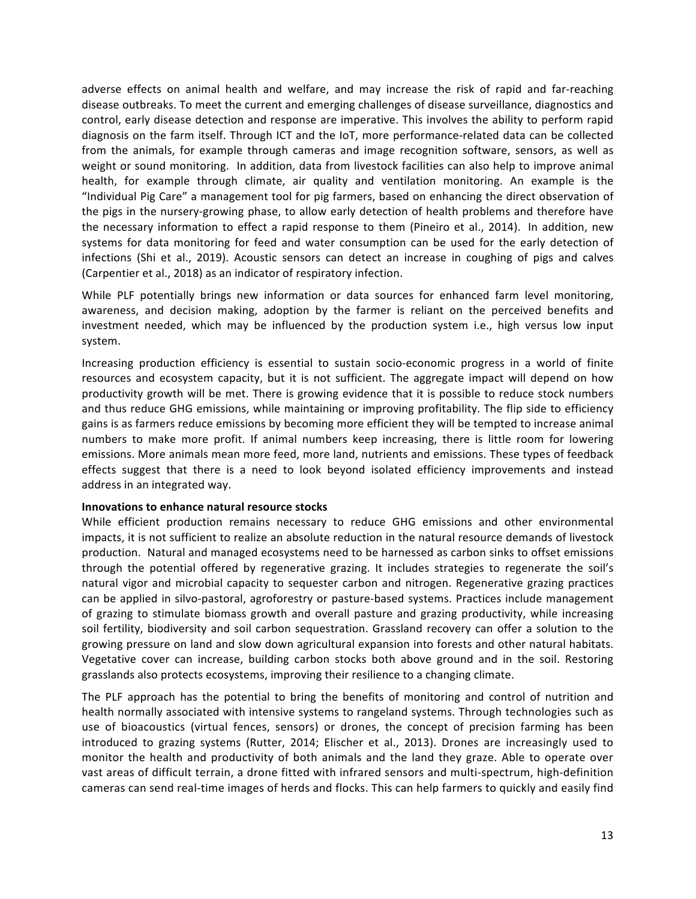adverse effects on animal health and welfare, and may increase the risk of rapid and far-reaching disease outbreaks. To meet the current and emerging challenges of disease surveillance, diagnostics and control, early disease detection and response are imperative. This involves the ability to perform rapid diagnosis on the farm itself. Through ICT and the IoT, more performance-related data can be collected from the animals, for example through cameras and image recognition software, sensors, as well as weight or sound monitoring. In addition, data from livestock facilities can also help to improve animal health, for example through climate, air quality and ventilation monitoring. An example is the "Individual Pig Care" a management tool for pig farmers, based on enhancing the direct observation of the pigs in the nursery-growing phase, to allow early detection of health problems and therefore have the necessary information to effect a rapid response to them (Pineiro et al., 2014). In addition, new systems for data monitoring for feed and water consumption can be used for the early detection of infections (Shi et al., 2019). Acoustic sensors can detect an increase in coughing of pigs and calves (Carpentier et al., 2018) as an indicator of respiratory infection.

While PLF potentially brings new information or data sources for enhanced farm level monitoring, awareness, and decision making, adoption by the farmer is reliant on the perceived benefits and investment needed, which may be influenced by the production system *i.e.*, high versus low input system.

Increasing production efficiency is essential to sustain socio-economic progress in a world of finite resources and ecosystem capacity, but it is not sufficient. The aggregate impact will depend on how productivity growth will be met. There is growing evidence that it is possible to reduce stock numbers and thus reduce GHG emissions, while maintaining or improving profitability. The flip side to efficiency gains is as farmers reduce emissions by becoming more efficient they will be tempted to increase animal numbers to make more profit. If animal numbers keep increasing, there is little room for lowering emissions. More animals mean more feed, more land, nutrients and emissions. These types of feedback effects suggest that there is a need to look beyond isolated efficiency improvements and instead address in an integrated way.

#### **Innovations to enhance natural resource stocks**

While efficient production remains necessary to reduce GHG emissions and other environmental impacts, it is not sufficient to realize an absolute reduction in the natural resource demands of livestock production. Natural and managed ecosystems need to be harnessed as carbon sinks to offset emissions through the potential offered by regenerative grazing. It includes strategies to regenerate the soil's natural vigor and microbial capacity to sequester carbon and nitrogen. Regenerative grazing practices can be applied in silvo-pastoral, agroforestry or pasture-based systems. Practices include management of grazing to stimulate biomass growth and overall pasture and grazing productivity, while increasing soil fertility, biodiversity and soil carbon sequestration. Grassland recovery can offer a solution to the growing pressure on land and slow down agricultural expansion into forests and other natural habitats. Vegetative cover can increase, building carbon stocks both above ground and in the soil. Restoring grasslands also protects ecosystems, improving their resilience to a changing climate.

The PLF approach has the potential to bring the benefits of monitoring and control of nutrition and health normally associated with intensive systems to rangeland systems. Through technologies such as use of bioacoustics (virtual fences, sensors) or drones, the concept of precision farming has been introduced to grazing systems (Rutter, 2014; Elischer et al., 2013). Drones are increasingly used to monitor the health and productivity of both animals and the land they graze. Able to operate over vast areas of difficult terrain, a drone fitted with infrared sensors and multi-spectrum, high-definition cameras can send real-time images of herds and flocks. This can help farmers to quickly and easily find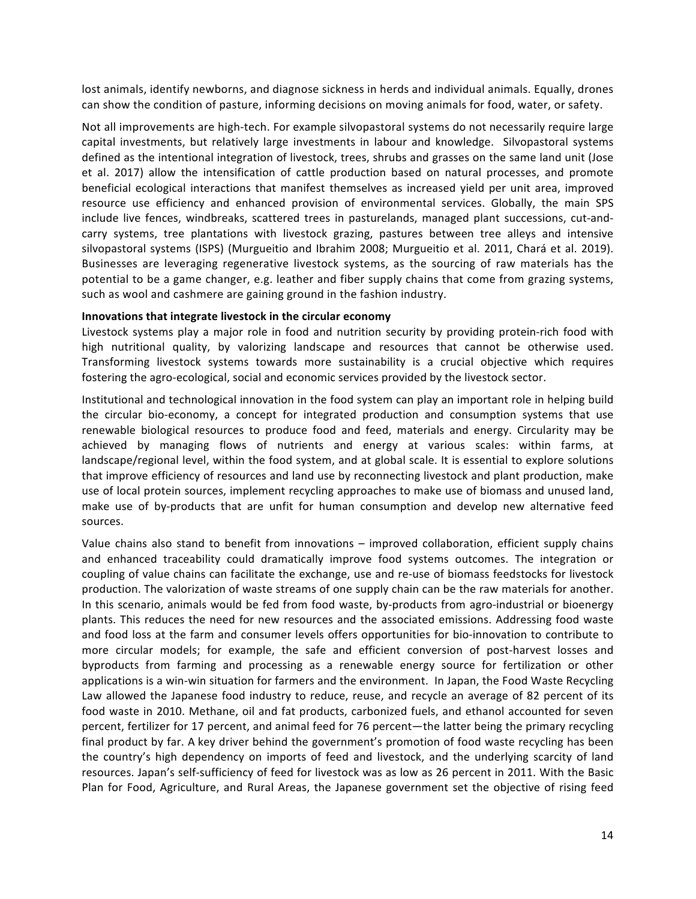lost animals, identify newborns, and diagnose sickness in herds and individual animals. Equally, drones can show the condition of pasture, informing decisions on moving animals for food, water, or safety.

Not all improvements are high-tech. For example silvopastoral systems do not necessarily require large capital investments, but relatively large investments in labour and knowledge. Silvopastoral systems defined as the intentional integration of livestock, trees, shrubs and grasses on the same land unit (Jose et al. 2017) allow the intensification of cattle production based on natural processes, and promote beneficial ecological interactions that manifest themselves as increased yield per unit area, improved resource use efficiency and enhanced provision of environmental services. Globally, the main SPS include live fences, windbreaks, scattered trees in pasturelands, managed plant successions, cut-andcarry systems, tree plantations with livestock grazing, pastures between tree alleys and intensive silvopastoral systems (ISPS) (Murgueitio and Ibrahim 2008; Murgueitio et al. 2011, Chará et al. 2019). Businesses are leveraging regenerative livestock systems, as the sourcing of raw materials has the potential to be a game changer, e.g. leather and fiber supply chains that come from grazing systems, such as wool and cashmere are gaining ground in the fashion industry.

#### **Innovations that integrate livestock in the circular economy**

Livestock systems play a major role in food and nutrition security by providing protein-rich food with high nutritional quality, by valorizing landscape and resources that cannot be otherwise used. Transforming livestock systems towards more sustainability is a crucial objective which requires fostering the agro-ecological, social and economic services provided by the livestock sector.

Institutional and technological innovation in the food system can play an important role in helping build the circular bio-economy, a concept for integrated production and consumption systems that use renewable biological resources to produce food and feed, materials and energy. Circularity may be achieved by managing flows of nutrients and energy at various scales: within farms, at landscape/regional level, within the food system, and at global scale. It is essential to explore solutions that improve efficiency of resources and land use by reconnecting livestock and plant production, make use of local protein sources, implement recycling approaches to make use of biomass and unused land, make use of by-products that are unfit for human consumption and develop new alternative feed sources.

Value chains also stand to benefit from innovations – improved collaboration, efficient supply chains and enhanced traceability could dramatically improve food systems outcomes. The integration or coupling of value chains can facilitate the exchange, use and re-use of biomass feedstocks for livestock production. The valorization of waste streams of one supply chain can be the raw materials for another. In this scenario, animals would be fed from food waste, by-products from agro-industrial or bioenergy plants. This reduces the need for new resources and the associated emissions. Addressing food waste and food loss at the farm and consumer levels offers opportunities for bio-innovation to contribute to more circular models; for example, the safe and efficient conversion of post-harvest losses and byproducts from farming and processing as a renewable energy source for fertilization or other applications is a win-win situation for farmers and the environment. In Japan, the Food Waste Recycling Law allowed the Japanese food industry to reduce, reuse, and recycle an average of 82 percent of its food waste in 2010. Methane, oil and fat products, carbonized fuels, and ethanol accounted for seven percent, fertilizer for 17 percent, and animal feed for 76 percent—the latter being the primary recycling final product by far. A key driver behind the government's promotion of food waste recycling has been the country's high dependency on imports of feed and livestock, and the underlying scarcity of land resources. Japan's self-sufficiency of feed for livestock was as low as 26 percent in 2011. With the Basic Plan for Food, Agriculture, and Rural Areas, the Japanese government set the objective of rising feed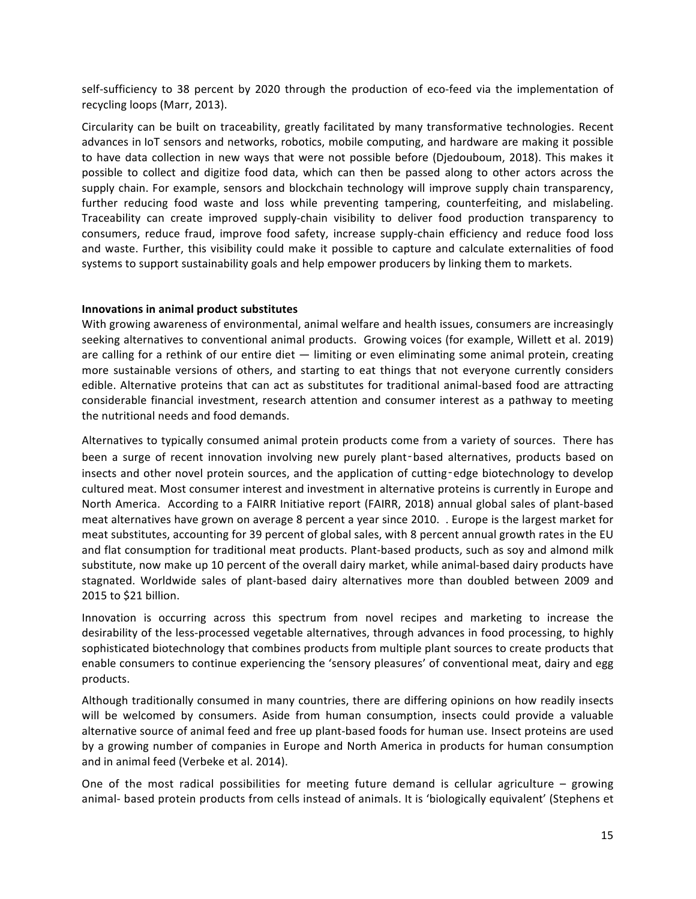self-sufficiency to 38 percent by 2020 through the production of eco-feed via the implementation of recycling loops (Marr, 2013).

Circularity can be built on traceability, greatly facilitated by many transformative technologies. Recent advances in IoT sensors and networks, robotics, mobile computing, and hardware are making it possible to have data collection in new ways that were not possible before (Diedouboum, 2018). This makes it possible to collect and digitize food data, which can then be passed along to other actors across the supply chain. For example, sensors and blockchain technology will improve supply chain transparency, further reducing food waste and loss while preventing tampering, counterfeiting, and mislabeling. Traceability can create improved supply-chain visibility to deliver food production transparency to consumers, reduce fraud, improve food safety, increase supply-chain efficiency and reduce food loss and waste. Further, this visibility could make it possible to capture and calculate externalities of food systems to support sustainability goals and help empower producers by linking them to markets.

#### **Innovations in animal product substitutes**

With growing awareness of environmental, animal welfare and health issues, consumers are increasingly seeking alternatives to conventional animal products. Growing voices (for example, Willett et al. 2019) are calling for a rethink of our entire diet  $-$  limiting or even eliminating some animal protein, creating more sustainable versions of others, and starting to eat things that not everyone currently considers edible. Alternative proteins that can act as substitutes for traditional animal-based food are attracting considerable financial investment, research attention and consumer interest as a pathway to meeting the nutritional needs and food demands.

Alternatives to typically consumed animal protein products come from a variety of sources. There has been a surge of recent innovation involving new purely plant-based alternatives, products based on insects and other novel protein sources, and the application of cutting-edge biotechnology to develop cultured meat. Most consumer interest and investment in alternative proteins is currently in Europe and North America. According to a FAIRR Initiative report (FAIRR, 2018) annual global sales of plant-based meat alternatives have grown on average 8 percent a year since 2010. . Europe is the largest market for meat substitutes, accounting for 39 percent of global sales, with 8 percent annual growth rates in the EU and flat consumption for traditional meat products. Plant-based products, such as soy and almond milk substitute, now make up 10 percent of the overall dairy market, while animal-based dairy products have stagnated. Worldwide sales of plant-based dairy alternatives more than doubled between 2009 and 2015 to \$21 billion.

Innovation is occurring across this spectrum from novel recipes and marketing to increase the desirability of the less-processed vegetable alternatives, through advances in food processing, to highly sophisticated biotechnology that combines products from multiple plant sources to create products that enable consumers to continue experiencing the 'sensory pleasures' of conventional meat, dairy and egg products.

Although traditionally consumed in many countries, there are differing opinions on how readily insects will be welcomed by consumers. Aside from human consumption, insects could provide a valuable alternative source of animal feed and free up plant-based foods for human use. Insect proteins are used by a growing number of companies in Europe and North America in products for human consumption and in animal feed (Verbeke et al. 2014).

One of the most radical possibilities for meeting future demand is cellular agriculture  $-$  growing animal- based protein products from cells instead of animals. It is 'biologically equivalent' (Stephens et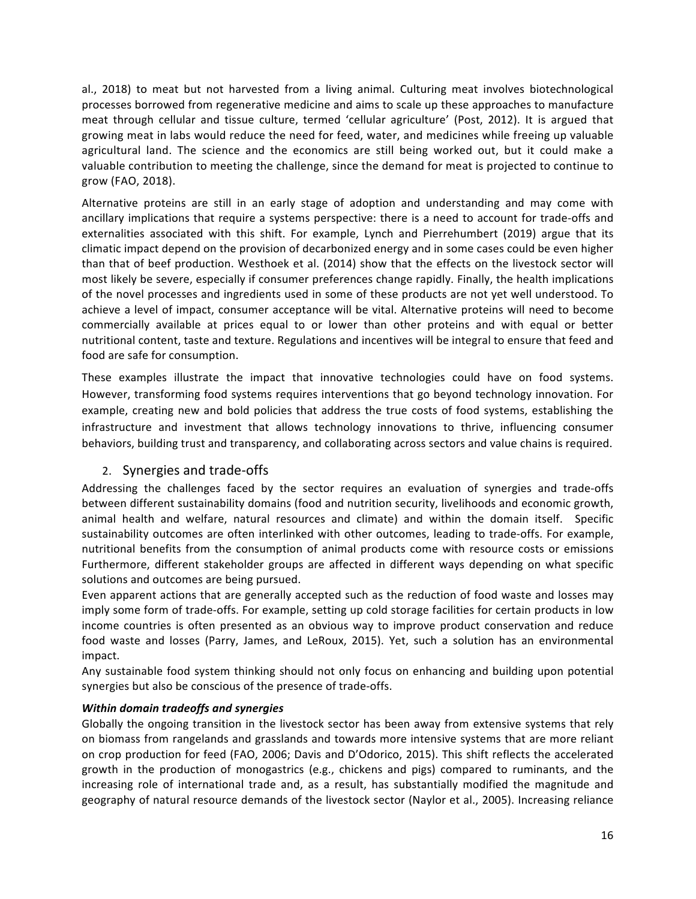al., 2018) to meat but not harvested from a living animal. Culturing meat involves biotechnological processes borrowed from regenerative medicine and aims to scale up these approaches to manufacture meat through cellular and tissue culture, termed 'cellular agriculture' (Post, 2012). It is argued that growing meat in labs would reduce the need for feed, water, and medicines while freeing up valuable agricultural land. The science and the economics are still being worked out, but it could make a valuable contribution to meeting the challenge, since the demand for meat is projected to continue to grow (FAO, 2018).

Alternative proteins are still in an early stage of adoption and understanding and may come with ancillary implications that require a systems perspective: there is a need to account for trade-offs and externalities associated with this shift. For example, Lynch and Pierrehumbert (2019) argue that its climatic impact depend on the provision of decarbonized energy and in some cases could be even higher than that of beef production. Westhoek et al. (2014) show that the effects on the livestock sector will most likely be severe, especially if consumer preferences change rapidly. Finally, the health implications of the novel processes and ingredients used in some of these products are not yet well understood. To achieve a level of impact, consumer acceptance will be vital. Alternative proteins will need to become commercially available at prices equal to or lower than other proteins and with equal or better nutritional content, taste and texture. Regulations and incentives will be integral to ensure that feed and food are safe for consumption.

These examples illustrate the impact that innovative technologies could have on food systems. However, transforming food systems requires interventions that go beyond technology innovation. For example, creating new and bold policies that address the true costs of food systems, establishing the infrastructure and investment that allows technology innovations to thrive, influencing consumer behaviors, building trust and transparency, and collaborating across sectors and value chains is required.

## 2. Synergies and trade-offs

Addressing the challenges faced by the sector requires an evaluation of synergies and trade-offs between different sustainability domains (food and nutrition security, livelihoods and economic growth, animal health and welfare, natural resources and climate) and within the domain itself. Specific sustainability outcomes are often interlinked with other outcomes, leading to trade-offs. For example, nutritional benefits from the consumption of animal products come with resource costs or emissions Furthermore, different stakeholder groups are affected in different ways depending on what specific solutions and outcomes are being pursued.

Even apparent actions that are generally accepted such as the reduction of food waste and losses may imply some form of trade-offs. For example, setting up cold storage facilities for certain products in low income countries is often presented as an obvious way to improve product conservation and reduce food waste and losses (Parry, James, and LeRoux, 2015). Yet, such a solution has an environmental impact. 

Any sustainable food system thinking should not only focus on enhancing and building upon potential synergies but also be conscious of the presence of trade-offs.

## *Within domain tradeoffs and synergies*

Globally the ongoing transition in the livestock sector has been away from extensive systems that rely on biomass from rangelands and grasslands and towards more intensive systems that are more reliant on crop production for feed (FAO, 2006; Davis and D'Odorico, 2015). This shift reflects the accelerated growth in the production of monogastrics (e.g., chickens and pigs) compared to ruminants, and the increasing role of international trade and, as a result, has substantially modified the magnitude and geography of natural resource demands of the livestock sector (Naylor et al., 2005). Increasing reliance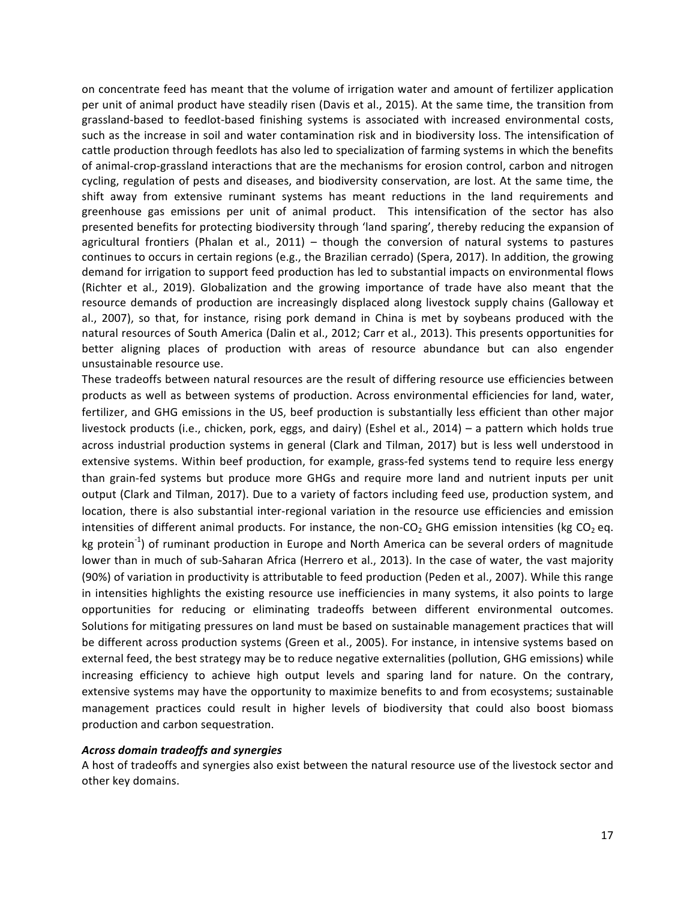on concentrate feed has meant that the volume of irrigation water and amount of fertilizer application per unit of animal product have steadily risen (Davis et al., 2015). At the same time, the transition from grassland-based to feedlot-based finishing systems is associated with increased environmental costs, such as the increase in soil and water contamination risk and in biodiversity loss. The intensification of cattle production through feedlots has also led to specialization of farming systems in which the benefits of animal-crop-grassland interactions that are the mechanisms for erosion control, carbon and nitrogen cycling, regulation of pests and diseases, and biodiversity conservation, are lost. At the same time, the shift away from extensive ruminant systems has meant reductions in the land requirements and greenhouse gas emissions per unit of animal product. This intensification of the sector has also presented benefits for protecting biodiversity through 'land sparing', thereby reducing the expansion of agricultural frontiers (Phalan et al.,  $2011$ ) – though the conversion of natural systems to pastures continues to occurs in certain regions (e.g., the Brazilian cerrado) (Spera, 2017). In addition, the growing demand for irrigation to support feed production has led to substantial impacts on environmental flows (Richter et al., 2019). Globalization and the growing importance of trade have also meant that the resource demands of production are increasingly displaced along livestock supply chains (Galloway et al., 2007), so that, for instance, rising pork demand in China is met by soybeans produced with the natural resources of South America (Dalin et al., 2012; Carr et al., 2013). This presents opportunities for better aligning places of production with areas of resource abundance but can also engender unsustainable resource use.

These tradeoffs between natural resources are the result of differing resource use efficiencies between products as well as between systems of production. Across environmental efficiencies for land, water, fertilizer, and GHG emissions in the US, beef production is substantially less efficient than other major livestock products (i.e., chicken, pork, eggs, and dairy) (Eshel et al., 2014) – a pattern which holds true across industrial production systems in general (Clark and Tilman, 2017) but is less well understood in extensive systems. Within beef production, for example, grass-fed systems tend to require less energy than grain-fed systems but produce more GHGs and require more land and nutrient inputs per unit output (Clark and Tilman, 2017). Due to a variety of factors including feed use, production system, and location, there is also substantial inter-regional variation in the resource use efficiencies and emission intensities of different animal products. For instance, the non-CO<sub>2</sub> GHG emission intensities (kg CO<sub>2</sub> eq. kg protein<sup>-1</sup>) of ruminant production in Europe and North America can be several orders of magnitude lower than in much of sub-Saharan Africa (Herrero et al., 2013). In the case of water, the vast majority (90%) of variation in productivity is attributable to feed production (Peden et al., 2007). While this range in intensities highlights the existing resource use inefficiencies in many systems, it also points to large opportunities for reducing or eliminating tradeoffs between different environmental outcomes. Solutions for mitigating pressures on land must be based on sustainable management practices that will be different across production systems (Green et al., 2005). For instance, in intensive systems based on external feed, the best strategy may be to reduce negative externalities (pollution, GHG emissions) while increasing efficiency to achieve high output levels and sparing land for nature. On the contrary, extensive systems may have the opportunity to maximize benefits to and from ecosystems; sustainable management practices could result in higher levels of biodiversity that could also boost biomass production and carbon sequestration.

#### *Across domain tradeoffs and synergies*

A host of tradeoffs and synergies also exist between the natural resource use of the livestock sector and other key domains.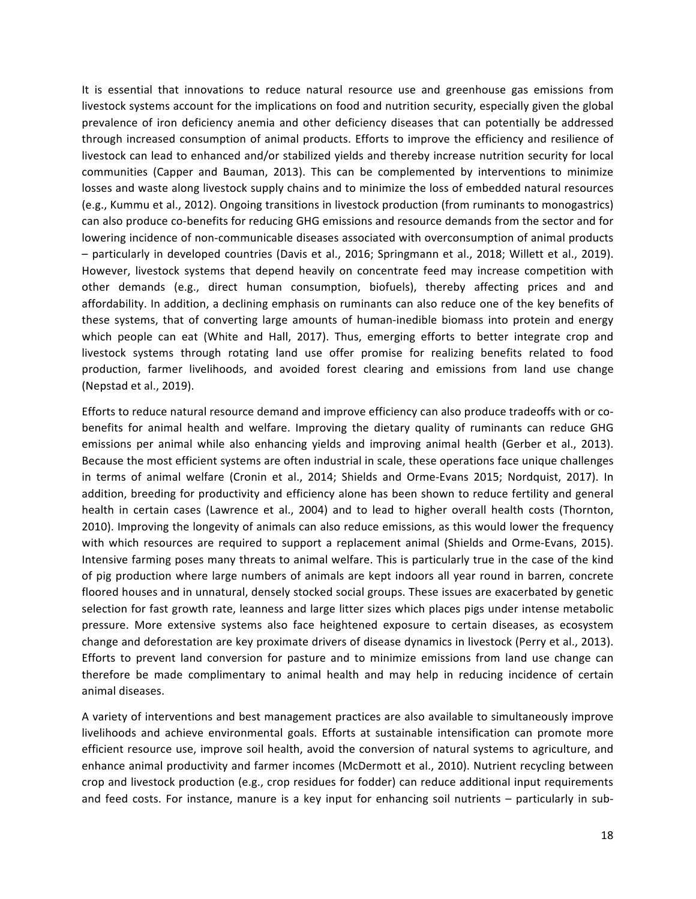It is essential that innovations to reduce natural resource use and greenhouse gas emissions from livestock systems account for the implications on food and nutrition security, especially given the global prevalence of iron deficiency anemia and other deficiency diseases that can potentially be addressed through increased consumption of animal products. Efforts to improve the efficiency and resilience of livestock can lead to enhanced and/or stabilized yields and thereby increase nutrition security for local communities (Capper and Bauman, 2013). This can be complemented by interventions to minimize losses and waste along livestock supply chains and to minimize the loss of embedded natural resources (e.g., Kummu et al., 2012). Ongoing transitions in livestock production (from ruminants to monogastrics) can also produce co-benefits for reducing GHG emissions and resource demands from the sector and for lowering incidence of non-communicable diseases associated with overconsumption of animal products – particularly in developed countries (Davis et al., 2016; Springmann et al., 2018; Willett et al., 2019). However, livestock systems that depend heavily on concentrate feed may increase competition with other demands (e.g., direct human consumption, biofuels), thereby affecting prices and and affordability. In addition, a declining emphasis on ruminants can also reduce one of the key benefits of these systems, that of converting large amounts of human-inedible biomass into protein and energy which people can eat (White and Hall, 2017). Thus, emerging efforts to better integrate crop and livestock systems through rotating land use offer promise for realizing benefits related to food production, farmer livelihoods, and avoided forest clearing and emissions from land use change (Nepstad et al., 2019).

Efforts to reduce natural resource demand and improve efficiency can also produce tradeoffs with or cobenefits for animal health and welfare. Improving the dietary quality of ruminants can reduce GHG emissions per animal while also enhancing yields and improving animal health (Gerber et al., 2013). Because the most efficient systems are often industrial in scale, these operations face unique challenges in terms of animal welfare (Cronin et al., 2014; Shields and Orme-Evans 2015; Nordquist, 2017). In addition, breeding for productivity and efficiency alone has been shown to reduce fertility and general health in certain cases (Lawrence et al., 2004) and to lead to higher overall health costs (Thornton, 2010). Improving the longevity of animals can also reduce emissions, as this would lower the frequency with which resources are required to support a replacement animal (Shields and Orme-Evans, 2015). Intensive farming poses many threats to animal welfare. This is particularly true in the case of the kind of pig production where large numbers of animals are kept indoors all year round in barren, concrete floored houses and in unnatural, densely stocked social groups. These issues are exacerbated by genetic selection for fast growth rate, leanness and large litter sizes which places pigs under intense metabolic pressure. More extensive systems also face heightened exposure to certain diseases, as ecosystem change and deforestation are key proximate drivers of disease dynamics in livestock (Perry et al., 2013). Efforts to prevent land conversion for pasture and to minimize emissions from land use change can therefore be made complimentary to animal health and may help in reducing incidence of certain animal diseases.

A variety of interventions and best management practices are also available to simultaneously improve livelihoods and achieve environmental goals. Efforts at sustainable intensification can promote more efficient resource use, improve soil health, avoid the conversion of natural systems to agriculture, and enhance animal productivity and farmer incomes (McDermott et al., 2010). Nutrient recycling between crop and livestock production (e.g., crop residues for fodder) can reduce additional input requirements and feed costs. For instance, manure is a key input for enhancing soil nutrients - particularly in sub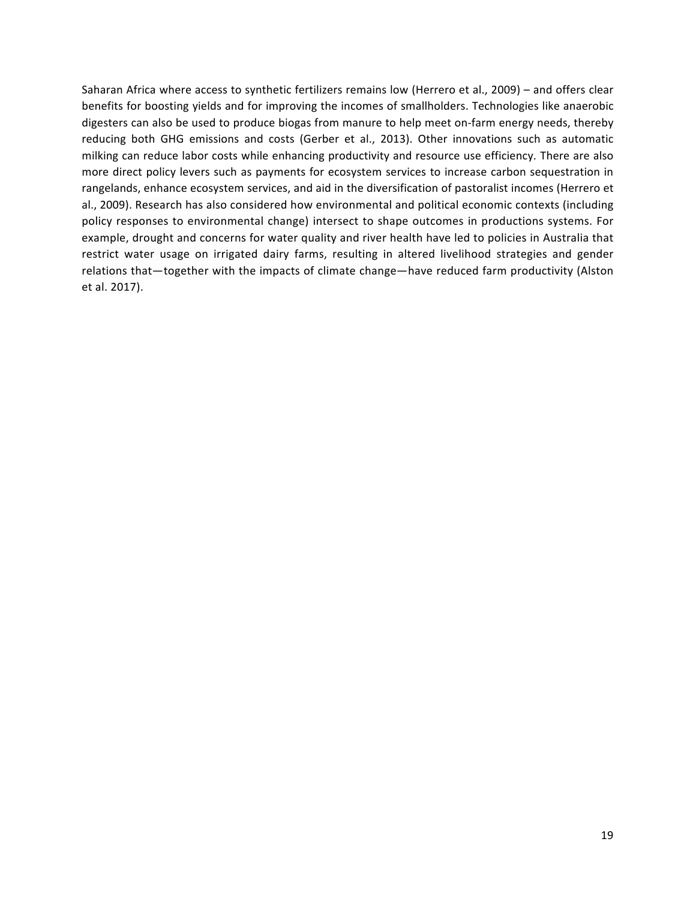Saharan Africa where access to synthetic fertilizers remains low (Herrero et al., 2009) – and offers clear benefits for boosting yields and for improving the incomes of smallholders. Technologies like anaerobic digesters can also be used to produce biogas from manure to help meet on-farm energy needs, thereby reducing both GHG emissions and costs (Gerber et al., 2013). Other innovations such as automatic milking can reduce labor costs while enhancing productivity and resource use efficiency. There are also more direct policy levers such as payments for ecosystem services to increase carbon sequestration in rangelands, enhance ecosystem services, and aid in the diversification of pastoralist incomes (Herrero et al., 2009). Research has also considered how environmental and political economic contexts (including policy responses to environmental change) intersect to shape outcomes in productions systems. For example, drought and concerns for water quality and river health have led to policies in Australia that restrict water usage on irrigated dairy farms, resulting in altered livelihood strategies and gender relations that—together with the impacts of climate change—have reduced farm productivity (Alston et al. 2017).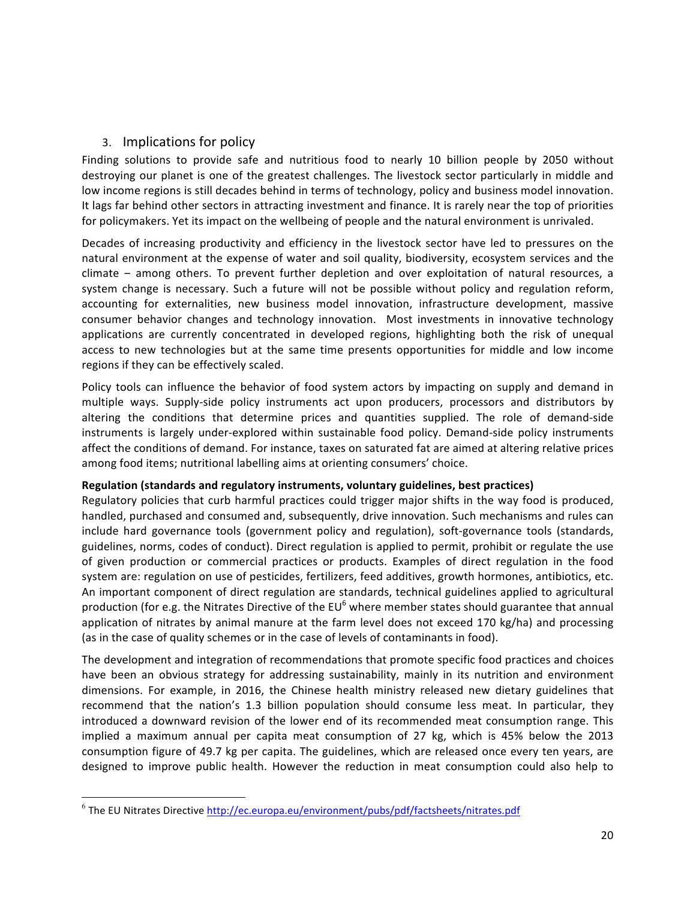## 3. Implications for policy

Finding solutions to provide safe and nutritious food to nearly 10 billion people by 2050 without destroying our planet is one of the greatest challenges. The livestock sector particularly in middle and low income regions is still decades behind in terms of technology, policy and business model innovation. It lags far behind other sectors in attracting investment and finance. It is rarely near the top of priorities for policymakers. Yet its impact on the wellbeing of people and the natural environment is unrivaled.

Decades of increasing productivity and efficiency in the livestock sector have led to pressures on the natural environment at the expense of water and soil quality, biodiversity, ecosystem services and the climate – among others. To prevent further depletion and over exploitation of natural resources, a system change is necessary. Such a future will not be possible without policy and regulation reform, accounting for externalities, new business model innovation, infrastructure development, massive consumer behavior changes and technology innovation. Most investments in innovative technology applications are currently concentrated in developed regions, highlighting both the risk of unequal access to new technologies but at the same time presents opportunities for middle and low income regions if they can be effectively scaled.

Policy tools can influence the behavior of food system actors by impacting on supply and demand in multiple ways. Supply-side policy instruments act upon producers, processors and distributors by altering the conditions that determine prices and quantities supplied. The role of demand-side instruments is largely under-explored within sustainable food policy. Demand-side policy instruments affect the conditions of demand. For instance, taxes on saturated fat are aimed at altering relative prices among food items; nutritional labelling aims at orienting consumers' choice.

## **Regulation (standards and regulatory instruments, voluntary guidelines, best practices)**

Regulatory policies that curb harmful practices could trigger major shifts in the way food is produced, handled, purchased and consumed and, subsequently, drive innovation. Such mechanisms and rules can include hard governance tools (government policy and regulation), soft-governance tools (standards, guidelines, norms, codes of conduct). Direct regulation is applied to permit, prohibit or regulate the use of given production or commercial practices or products. Examples of direct regulation in the food system are: regulation on use of pesticides, fertilizers, feed additives, growth hormones, antibiotics, etc. An important component of direct regulation are standards, technical guidelines applied to agricultural production (for e.g. the Nitrates Directive of the  $EU^6$  where member states should guarantee that annual application of nitrates by animal manure at the farm level does not exceed 170 kg/ha) and processing (as in the case of quality schemes or in the case of levels of contaminants in food).

The development and integration of recommendations that promote specific food practices and choices have been an obvious strategy for addressing sustainability, mainly in its nutrition and environment dimensions. For example, in 2016, the Chinese health ministry released new dietary guidelines that recommend that the nation's 1.3 billion population should consume less meat. In particular, they introduced a downward revision of the lower end of its recommended meat consumption range. This implied a maximum annual per capita meat consumption of 27 kg, which is 45% below the 2013 consumption figure of 49.7 kg per capita. The guidelines, which are released once every ten years, are designed to improve public health. However the reduction in meat consumption could also help to

<u> 1989 - Johann Stein, markin film yn y breninn y breninn y breninn y breninn y breninn y breninn y breninn y b</u>

 $6$  The EU Nitrates Directive http://ec.europa.eu/environment/pubs/pdf/factsheets/nitrates.pdf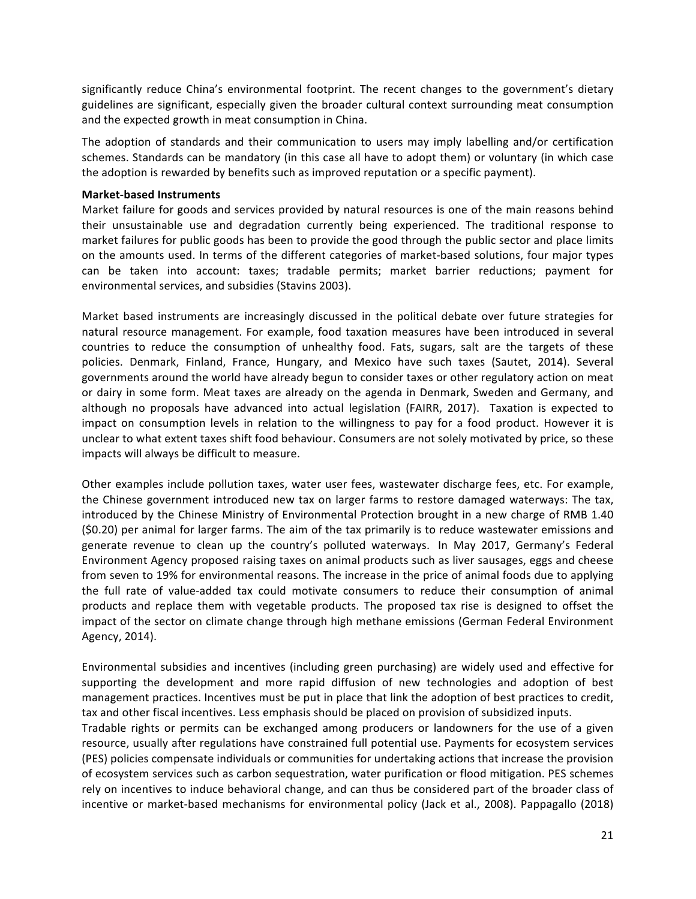significantly reduce China's environmental footprint. The recent changes to the government's dietary guidelines are significant, especially given the broader cultural context surrounding meat consumption and the expected growth in meat consumption in China.

The adoption of standards and their communication to users may imply labelling and/or certification schemes. Standards can be mandatory (in this case all have to adopt them) or voluntary (in which case the adoption is rewarded by benefits such as improved reputation or a specific payment).

#### **Market-based Instruments**

Market failure for goods and services provided by natural resources is one of the main reasons behind their unsustainable use and degradation currently being experienced. The traditional response to market failures for public goods has been to provide the good through the public sector and place limits on the amounts used. In terms of the different categories of market-based solutions, four major types can be taken into account: taxes; tradable permits; market barrier reductions; payment for environmental services, and subsidies (Stavins 2003).

Market based instruments are increasingly discussed in the political debate over future strategies for natural resource management. For example, food taxation measures have been introduced in several countries to reduce the consumption of unhealthy food. Fats, sugars, salt are the targets of these policies. Denmark, Finland, France, Hungary, and Mexico have such taxes (Sautet, 2014). Several governments around the world have already begun to consider taxes or other regulatory action on meat or dairy in some form. Meat taxes are already on the agenda in Denmark, Sweden and Germany, and although no proposals have advanced into actual legislation (FAIRR, 2017). Taxation is expected to impact on consumption levels in relation to the willingness to pay for a food product. However it is unclear to what extent taxes shift food behaviour. Consumers are not solely motivated by price, so these impacts will always be difficult to measure.

Other examples include pollution taxes, water user fees, wastewater discharge fees, etc. For example, the Chinese government introduced new tax on larger farms to restore damaged waterways: The tax, introduced by the Chinese Ministry of Environmental Protection brought in a new charge of RMB 1.40 (\$0.20) per animal for larger farms. The aim of the tax primarily is to reduce wastewater emissions and generate revenue to clean up the country's polluted waterways. In May 2017, Germany's Federal Environment Agency proposed raising taxes on animal products such as liver sausages, eggs and cheese from seven to 19% for environmental reasons. The increase in the price of animal foods due to applying the full rate of value-added tax could motivate consumers to reduce their consumption of animal products and replace them with vegetable products. The proposed tax rise is designed to offset the impact of the sector on climate change through high methane emissions (German Federal Environment Agency, 2014).

Environmental subsidies and incentives (including green purchasing) are widely used and effective for supporting the development and more rapid diffusion of new technologies and adoption of best management practices. Incentives must be put in place that link the adoption of best practices to credit, tax and other fiscal incentives. Less emphasis should be placed on provision of subsidized inputs.

Tradable rights or permits can be exchanged among producers or landowners for the use of a given resource, usually after regulations have constrained full potential use. Payments for ecosystem services (PES) policies compensate individuals or communities for undertaking actions that increase the provision of ecosystem services such as carbon sequestration, water purification or flood mitigation. PES schemes rely on incentives to induce behavioral change, and can thus be considered part of the broader class of incentive or market-based mechanisms for environmental policy (Jack et al., 2008). Pappagallo (2018)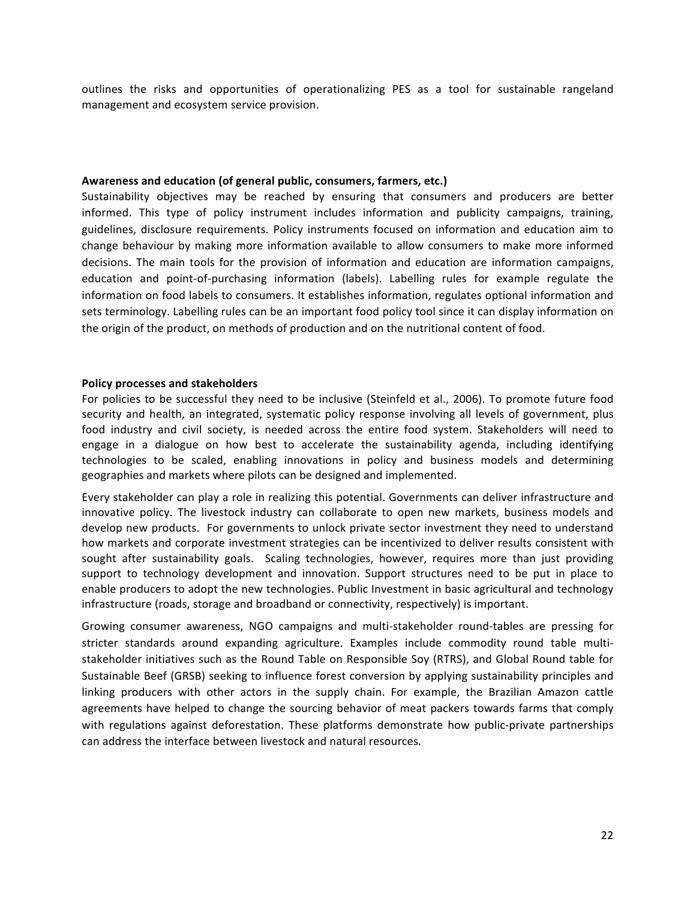outlines the risks and opportunities of operationalizing PES as a tool for sustainable rangeland management and ecosystem service provision.

#### Awareness and education (of general public, consumers, farmers, etc.)

Sustainability objectives may be reached by ensuring that consumers and producers are better informed. This type of policy instrument includes information and publicity campaigns, training, guidelines, disclosure requirements. Policy instruments focused on information and education aim to change behaviour by making more information available to allow consumers to make more informed decisions. The main tools for the provision of information and education are information campaigns, education and point-of-purchasing information (labels). Labelling rules for example regulate the information on food labels to consumers. It establishes information, regulates optional information and sets terminology. Labelling rules can be an important food policy tool since it can display information on the origin of the product, on methods of production and on the nutritional content of food.

#### **Policy processes and stakeholders**

For policies to be successful they need to be inclusive (Steinfeld et al., 2006). To promote future food security and health, an integrated, systematic policy response involving all levels of government, plus food industry and civil society, is needed across the entire food system. Stakeholders will need to engage in a dialogue on how best to accelerate the sustainability agenda, including identifying technologies to be scaled, enabling innovations in policy and business models and determining geographies and markets where pilots can be designed and implemented.

Every stakeholder can play a role in realizing this potential. Governments can deliver infrastructure and innovative policy. The livestock industry can collaborate to open new markets, business models and develop new products. For governments to unlock private sector investment they need to understand how markets and corporate investment strategies can be incentivized to deliver results consistent with sought after sustainability goals. Scaling technologies, however, requires more than just providing support to technology development and innovation. Support structures need to be put in place to enable producers to adopt the new technologies. Public Investment in basic agricultural and technology infrastructure (roads, storage and broadband or connectivity, respectively) is important.

Growing consumer awareness, NGO campaigns and multi-stakeholder round-tables are pressing for stricter standards around expanding agriculture. Examples include commodity round table multistakeholder initiatives such as the Round Table on Responsible Soy (RTRS), and Global Round table for Sustainable Beef (GRSB) seeking to influence forest conversion by applying sustainability principles and linking producers with other actors in the supply chain. For example, the Brazilian Amazon cattle agreements have helped to change the sourcing behavior of meat packers towards farms that comply with regulations against deforestation. These platforms demonstrate how public-private partnerships can address the interface between livestock and natural resources.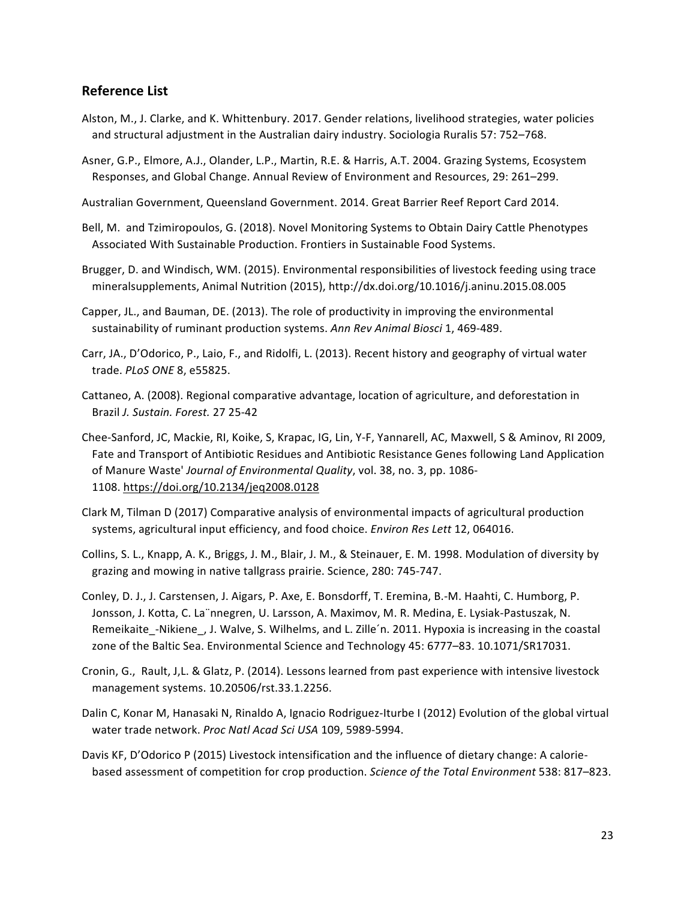## **Reference List**

- Alston, M., J. Clarke, and K. Whittenbury. 2017. Gender relations, livelihood strategies, water policies and structural adjustment in the Australian dairy industry. Sociologia Ruralis 57: 752-768.
- Asner, G.P., Elmore, A.J., Olander, L.P., Martin, R.E. & Harris, A.T. 2004. Grazing Systems, Ecosystem Responses, and Global Change. Annual Review of Environment and Resources, 29: 261–299.
- Australian Government, Queensland Government. 2014. Great Barrier Reef Report Card 2014.
- Bell, M. and Tzimiropoulos, G. (2018). Novel Monitoring Systems to Obtain Dairy Cattle Phenotypes Associated With Sustainable Production. Frontiers in Sustainable Food Systems.
- Brugger, D. and Windisch, WM. (2015). Environmental responsibilities of livestock feeding using trace mineralsupplements, Animal Nutrition (2015), http://dx.doi.org/10.1016/j.aninu.2015.08.005
- Capper, JL., and Bauman, DE. (2013). The role of productivity in improving the environmental sustainability of ruminant production systems. Ann Rev Animal Biosci 1, 469-489.
- Carr, JA., D'Odorico, P., Laio, F., and Ridolfi, L. (2013). Recent history and geography of virtual water trade. *PLoS ONE* 8, e55825.
- Cattaneo, A. (2008). Regional comparative advantage, location of agriculture, and deforestation in Brazil *J. Sustain. Forest.* 27 25-42
- Chee-Sanford, JC, Mackie, RI, Koike, S, Krapac, IG, Lin, Y-F, Yannarell, AC, Maxwell, S & Aminov, RI 2009, Fate and Transport of Antibiotic Residues and Antibiotic Resistance Genes following Land Application of Manure Waste' *Journal of Environmental Quality*, vol. 38, no. 3, pp. 1086-1108. https://doi.org/10.2134/jeq2008.0128
- Clark M, Tilman D (2017) Comparative analysis of environmental impacts of agricultural production systems, agricultural input efficiency, and food choice. *Environ Res Lett* 12, 064016.
- Collins, S. L., Knapp, A. K., Briggs, J. M., Blair, J. M., & Steinauer, E. M. 1998. Modulation of diversity by grazing and mowing in native tallgrass prairie. Science, 280: 745-747.
- Conley, D. J., J. Carstensen, J. Aigars, P. Axe, E. Bonsdorff, T. Eremina, B.-M. Haahti, C. Humborg, P. Jonsson, J. Kotta, C. La nnegren, U. Larsson, A. Maximov, M. R. Medina, E. Lysiak-Pastuszak, N. Remeikaite\_-Nikiene\_, J. Walve, S. Wilhelms, and L. Zille'n. 2011. Hypoxia is increasing in the coastal zone of the Baltic Sea. Environmental Science and Technology 45: 6777-83. 10.1071/SR17031.
- Cronin, G., Rault, J.L. & Glatz, P. (2014). Lessons learned from past experience with intensive livestock management systems. 10.20506/rst.33.1.2256.
- Dalin C, Konar M, Hanasaki N, Rinaldo A, Ignacio Rodriguez-Iturbe I (2012) Evolution of the global virtual water trade network. Proc Natl Acad Sci USA 109, 5989-5994.
- Davis KF, D'Odorico P (2015) Livestock intensification and the influence of dietary change: A caloriebased assessment of competition for crop production. *Science of the Total Environment* 538: 817–823.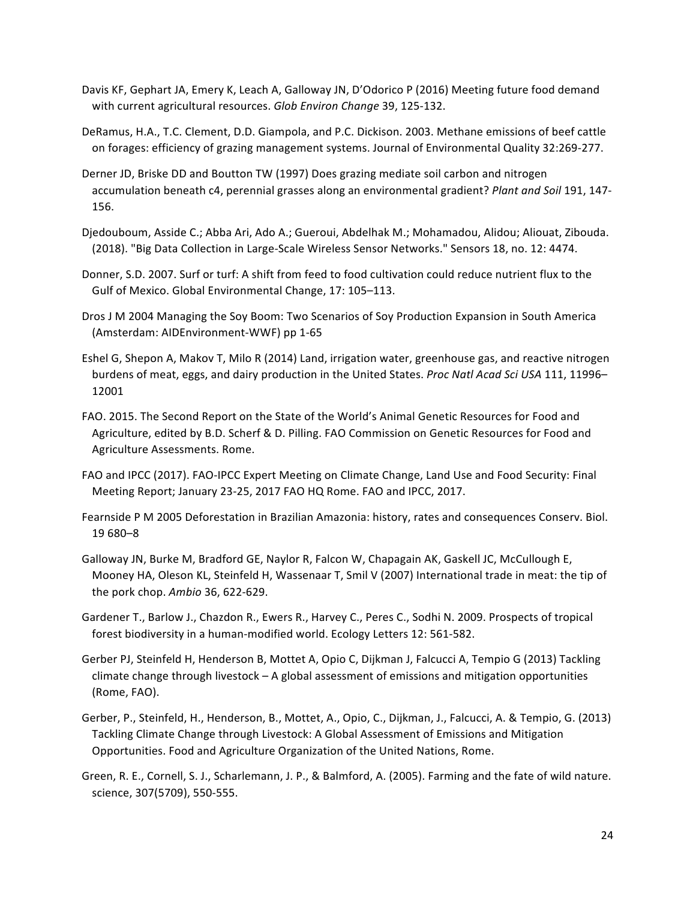- Davis KF, Gephart JA, Emery K, Leach A, Galloway JN, D'Odorico P (2016) Meeting future food demand with current agricultural resources. Glob Environ Change 39, 125-132.
- DeRamus, H.A., T.C. Clement, D.D. Giampola, and P.C. Dickison. 2003. Methane emissions of beef cattle on forages: efficiency of grazing management systems. Journal of Environmental Quality 32:269-277.
- Derner JD, Briske DD and Boutton TW (1997) Does grazing mediate soil carbon and nitrogen accumulation beneath c4, perennial grasses along an environmental gradient? *Plant and Soil* 191, 147-156.
- Djedouboum, Asside C.; Abba Ari, Ado A.; Gueroui, Abdelhak M.; Mohamadou, Alidou; Aliouat, Zibouda. (2018). "Big Data Collection in Large-Scale Wireless Sensor Networks." Sensors 18, no. 12: 4474.
- Donner, S.D. 2007. Surf or turf: A shift from feed to food cultivation could reduce nutrient flux to the Gulf of Mexico. Global Environmental Change, 17: 105-113.
- Dros J M 2004 Managing the Soy Boom: Two Scenarios of Soy Production Expansion in South America (Amsterdam: AIDEnvironment-WWF) pp 1-65
- Eshel G, Shepon A, Makov T, Milo R (2014) Land, irrigation water, greenhouse gas, and reactive nitrogen burdens of meat, eggs, and dairy production in the United States. *Proc Natl Acad Sci USA* 111, 11996– 12001
- FAO. 2015. The Second Report on the State of the World's Animal Genetic Resources for Food and Agriculture, edited by B.D. Scherf & D. Pilling. FAO Commission on Genetic Resources for Food and Agriculture Assessments. Rome.
- FAO and IPCC (2017). FAO-IPCC Expert Meeting on Climate Change, Land Use and Food Security: Final Meeting Report; January 23-25, 2017 FAO HQ Rome. FAO and IPCC, 2017.
- Fearnside P M 2005 Deforestation in Brazilian Amazonia: history, rates and consequences Conserv. Biol. 19 680–8
- Galloway JN, Burke M, Bradford GE, Naylor R, Falcon W, Chapagain AK, Gaskell JC, McCullough E, Mooney HA, Oleson KL, Steinfeld H, Wassenaar T, Smil V (2007) International trade in meat: the tip of the pork chop. Ambio 36, 622-629.
- Gardener T., Barlow J., Chazdon R., Ewers R., Harvey C., Peres C., Sodhi N. 2009. Prospects of tropical forest biodiversity in a human-modified world. Ecology Letters 12: 561-582.
- Gerber PJ, Steinfeld H, Henderson B, Mottet A, Opio C, Dijkman J, Falcucci A, Tempio G (2013) Tackling climate change through livestock – A global assessment of emissions and mitigation opportunities (Rome, FAO).
- Gerber, P., Steinfeld, H., Henderson, B., Mottet, A., Opio, C., Dijkman, J., Falcucci, A. & Tempio, G. (2013) Tackling Climate Change through Livestock: A Global Assessment of Emissions and Mitigation Opportunities. Food and Agriculture Organization of the United Nations, Rome.
- Green, R. E., Cornell, S. J., Scharlemann, J. P., & Balmford, A. (2005). Farming and the fate of wild nature. science, 307(5709), 550-555.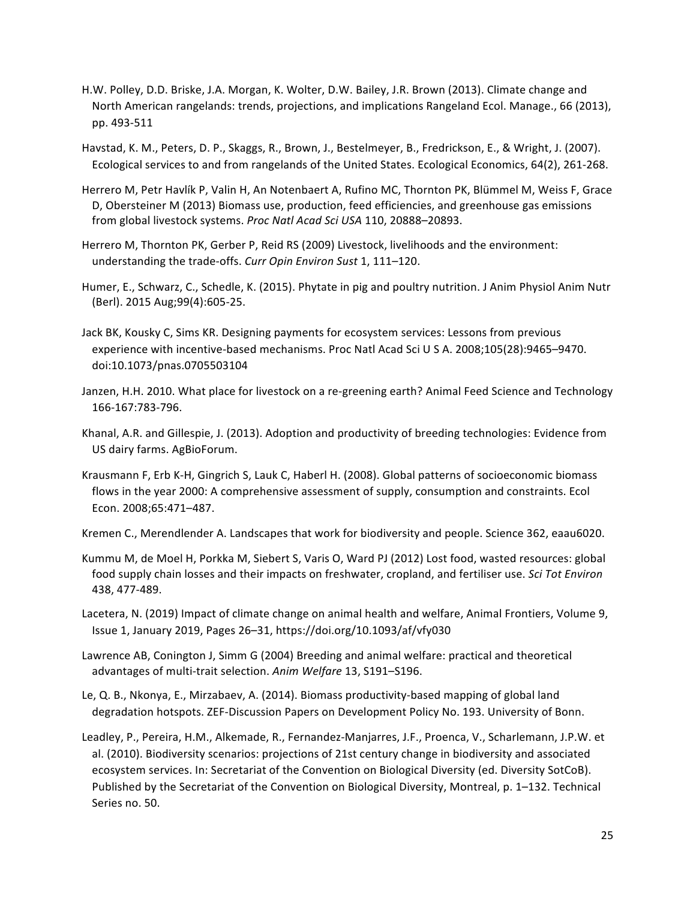- H.W. Polley, D.D. Briske, J.A. Morgan, K. Wolter, D.W. Bailey, J.R. Brown (2013). Climate change and North American rangelands: trends, projections, and implications Rangeland Ecol. Manage., 66 (2013), pp. 493-511
- Havstad, K. M., Peters, D. P., Skaggs, R., Brown, J., Bestelmeyer, B., Fredrickson, E., & Wright, J. (2007). Ecological services to and from rangelands of the United States. Ecological Economics, 64(2), 261-268.
- Herrero M, Petr Havlík P, Valin H, An Notenbaert A, Rufino MC, Thornton PK, Blümmel M, Weiss F, Grace D, Obersteiner M (2013) Biomass use, production, feed efficiencies, and greenhouse gas emissions from global livestock systems. *Proc Natl Acad Sci USA* 110, 20888–20893.
- Herrero M, Thornton PK, Gerber P, Reid RS (2009) Livestock, livelihoods and the environment: understanding the trade-offs. Curr Opin Environ Sust 1, 111-120.
- Humer, E., Schwarz, C., Schedle, K. (2015). Phytate in pig and poultry nutrition. J Anim Physiol Anim Nutr (Berl). 2015 Aug;99(4):605-25.
- Jack BK, Kousky C, Sims KR. Designing payments for ecosystem services: Lessons from previous experience with incentive-based mechanisms. Proc Natl Acad Sci U S A. 2008;105(28):9465–9470. doi:10.1073/pnas.0705503104
- Janzen, H.H. 2010. What place for livestock on a re-greening earth? Animal Feed Science and Technology 166-167:783-796.
- Khanal, A.R. and Gillespie, J. (2013). Adoption and productivity of breeding technologies: Evidence from US dairy farms. AgBioForum.
- Krausmann F, Erb K-H, Gingrich S, Lauk C, Haberl H. (2008). Global patterns of socioeconomic biomass flows in the year 2000: A comprehensive assessment of supply, consumption and constraints. Ecol Econ. 2008;65:471–487.
- Kremen C., Merendlender A. Landscapes that work for biodiversity and people. Science 362, eaau6020.
- Kummu M, de Moel H, Porkka M, Siebert S, Varis O, Ward PJ (2012) Lost food, wasted resources: global food supply chain losses and their impacts on freshwater, cropland, and fertiliser use. Sci Tot Environ 438, 477-489.
- Lacetera, N. (2019) Impact of climate change on animal health and welfare, Animal Frontiers, Volume 9, Issue 1, January 2019, Pages 26-31, https://doi.org/10.1093/af/vfy030
- Lawrence AB, Conington J, Simm G (2004) Breeding and animal welfare: practical and theoretical advantages of multi-trait selection. Anim Welfare 13, S191-S196.
- Le, Q. B., Nkonya, E., Mirzabaev, A. (2014). Biomass productivity-based mapping of global land degradation hotspots. ZEF-Discussion Papers on Development Policy No. 193. University of Bonn.
- Leadley, P., Pereira, H.M., Alkemade, R., Fernandez-Manjarres, J.F., Proenca, V., Scharlemann, J.P.W. et al. (2010). Biodiversity scenarios: projections of 21st century change in biodiversity and associated ecosystem services. In: Secretariat of the Convention on Biological Diversity (ed. Diversity SotCoB). Published by the Secretariat of the Convention on Biological Diversity, Montreal, p. 1–132. Technical Series no. 50.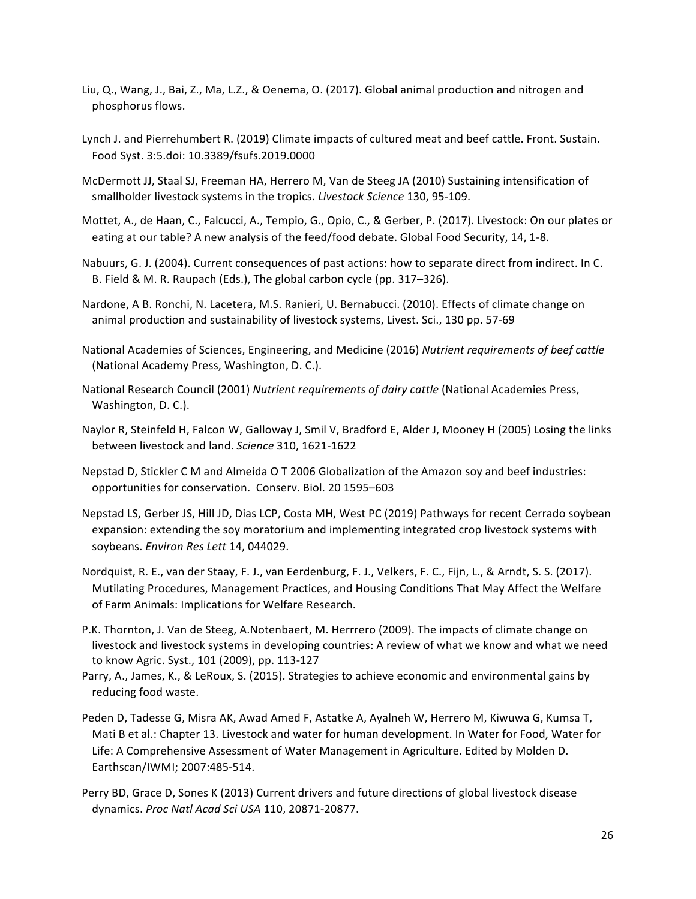- Liu, Q., Wang, J., Bai, Z., Ma, L.Z., & Oenema, O. (2017). Global animal production and nitrogen and phosphorus flows.
- Lynch J. and Pierrehumbert R. (2019) Climate impacts of cultured meat and beef cattle. Front. Sustain. Food Syst. 3:5.doi: 10.3389/fsufs.2019.0000
- McDermott JJ, Staal SJ, Freeman HA, Herrero M, Van de Steeg JA (2010) Sustaining intensification of smallholder livestock systems in the tropics. Livestock Science 130, 95-109.
- Mottet, A., de Haan, C., Falcucci, A., Tempio, G., Opio, C., & Gerber, P. (2017). Livestock: On our plates or eating at our table? A new analysis of the feed/food debate. Global Food Security, 14, 1-8.
- Nabuurs, G. J. (2004). Current consequences of past actions: how to separate direct from indirect. In C. B. Field & M. R. Raupach (Eds.), The global carbon cycle (pp. 317–326).
- Nardone, A B. Ronchi, N. Lacetera, M.S. Ranieri, U. Bernabucci. (2010). Effects of climate change on animal production and sustainability of livestock systems, Livest. Sci., 130 pp. 57-69
- National Academies of Sciences, Engineering, and Medicine (2016) Nutrient requirements of beef cattle (National Academy Press, Washington, D. C.).
- National Research Council (2001) Nutrient requirements of dairy cattle (National Academies Press, Washington, D. C.).
- Naylor R, Steinfeld H, Falcon W, Galloway J, Smil V, Bradford E, Alder J, Mooney H (2005) Losing the links between livestock and land. *Science* 310, 1621-1622
- Nepstad D, Stickler C M and Almeida O T 2006 Globalization of the Amazon soy and beef industries: opportunities for conservation. Conserv. Biol. 20 1595–603
- Nepstad LS, Gerber JS, Hill JD, Dias LCP, Costa MH, West PC (2019) Pathways for recent Cerrado soybean expansion: extending the soy moratorium and implementing integrated crop livestock systems with soybeans. *Environ Res Lett* 14, 044029.
- Nordquist, R. E., van der Staay, F. J., van Eerdenburg, F. J., Velkers, F. C., Fijn, L., & Arndt, S. S. (2017). Mutilating Procedures, Management Practices, and Housing Conditions That May Affect the Welfare of Farm Animals: Implications for Welfare Research.
- P.K. Thornton, J. Van de Steeg, A.Notenbaert, M. Herrrero (2009). The impacts of climate change on livestock and livestock systems in developing countries: A review of what we know and what we need to know Agric. Syst., 101 (2009), pp. 113-127
- Parry, A., James, K., & LeRoux, S. (2015). Strategies to achieve economic and environmental gains by reducing food waste.
- Peden D, Tadesse G, Misra AK, Awad Amed F, Astatke A, Ayalneh W, Herrero M, Kiwuwa G, Kumsa T, Mati B et al.: Chapter 13. Livestock and water for human development. In Water for Food, Water for Life: A Comprehensive Assessment of Water Management in Agriculture. Edited by Molden D. Earthscan/IWMI; 2007:485-514.
- Perry BD, Grace D, Sones K (2013) Current drivers and future directions of global livestock disease dynamics. *Proc Natl Acad Sci USA* 110, 20871-20877.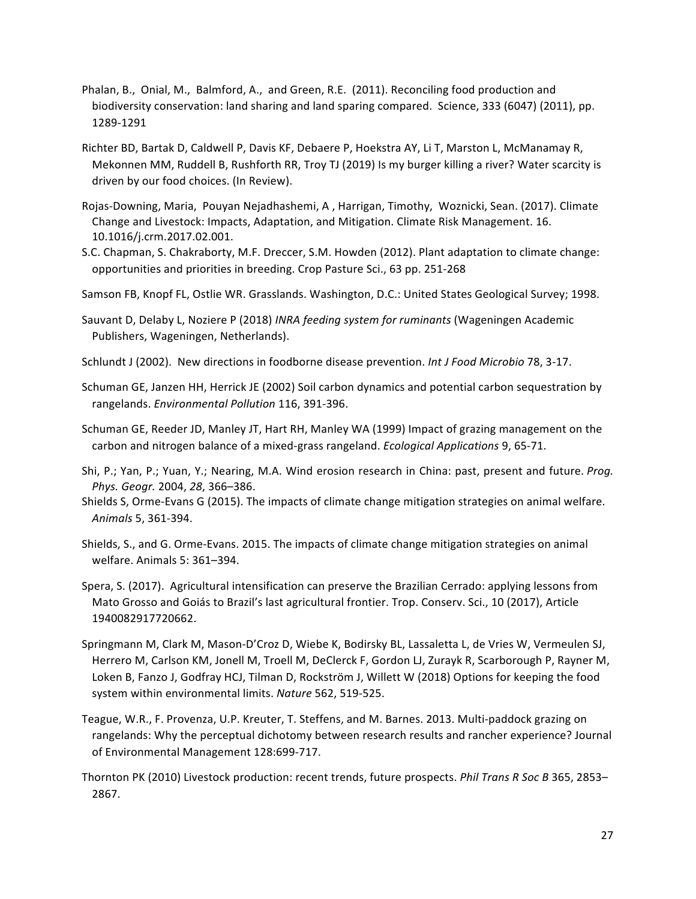- Phalan, B., Onial, M., Balmford, A., and Green, R.E. (2011). Reconciling food production and biodiversity conservation: land sharing and land sparing compared. Science, 333 (6047) (2011), pp. 1289-1291
- Richter BD, Bartak D, Caldwell P, Davis KF, Debaere P, Hoekstra AY, Li T, Marston L, McManamay R, Mekonnen MM, Ruddell B, Rushforth RR, Troy TJ (2019) Is my burger killing a river? Water scarcity is driven by our food choices. (In Review).
- Rojas-Downing, Maria, Pouyan Nejadhashemi, A, Harrigan, Timothy, Woznicki, Sean. (2017). Climate Change and Livestock: Impacts, Adaptation, and Mitigation. Climate Risk Management. 16. 10.1016/j.crm.2017.02.001.
- S.C. Chapman, S. Chakraborty, M.F. Dreccer, S.M. Howden (2012). Plant adaptation to climate change: opportunities and priorities in breeding. Crop Pasture Sci., 63 pp. 251-268
- Samson FB, Knopf FL, Ostlie WR. Grasslands. Washington, D.C.: United States Geological Survey; 1998.
- Sauvant D, Delaby L, Noziere P (2018) *INRA feeding system for ruminants* (Wageningen Academic Publishers, Wageningen, Netherlands).
- Schlundt J (2002). New directions in foodborne disease prevention. *Int J Food Microbio* 78, 3-17.
- Schuman GE, Janzen HH, Herrick JE (2002) Soil carbon dynamics and potential carbon sequestration by rangelands. *Environmental Pollution* 116, 391-396.
- Schuman GE, Reeder JD, Manley JT, Hart RH, Manley WA (1999) Impact of grazing management on the carbon and nitrogen balance of a mixed-grass rangeland. *Ecological Applications* 9, 65-71.
- Shi, P.; Yan, P.; Yuan, Y.; Nearing, M.A. Wind erosion research in China: past, present and future. *Prog. Phys. Geogr.* 2004, *28*, 366–386.
- Shields S, Orme-Evans G (2015). The impacts of climate change mitigation strategies on animal welfare. *Animals* 5, 361-394.
- Shields, S., and G. Orme-Evans. 2015. The impacts of climate change mitigation strategies on animal welfare. Animals 5: 361-394.
- Spera, S. (2017). Agricultural intensification can preserve the Brazilian Cerrado: applying lessons from Mato Grosso and Goiás to Brazil's last agricultural frontier. Trop. Conserv. Sci., 10 (2017), Article 1940082917720662.
- Springmann M, Clark M, Mason-D'Croz D, Wiebe K, Bodirsky BL, Lassaletta L, de Vries W, Vermeulen SJ, Herrero M, Carlson KM, Jonell M, Troell M, DeClerck F, Gordon LJ, Zurayk R, Scarborough P, Rayner M, Loken B, Fanzo J, Godfray HCJ, Tilman D, Rockström J, Willett W (2018) Options for keeping the food system within environmental limits. Nature 562, 519-525.
- Teague, W.R., F. Provenza, U.P. Kreuter, T. Steffens, and M. Barnes. 2013. Multi-paddock grazing on rangelands: Why the perceptual dichotomy between research results and rancher experience? Journal of Environmental Management 128:699-717.
- Thornton PK (2010) Livestock production: recent trends, future prospects. *Phil Trans R Soc B* 365, 2853– 2867.